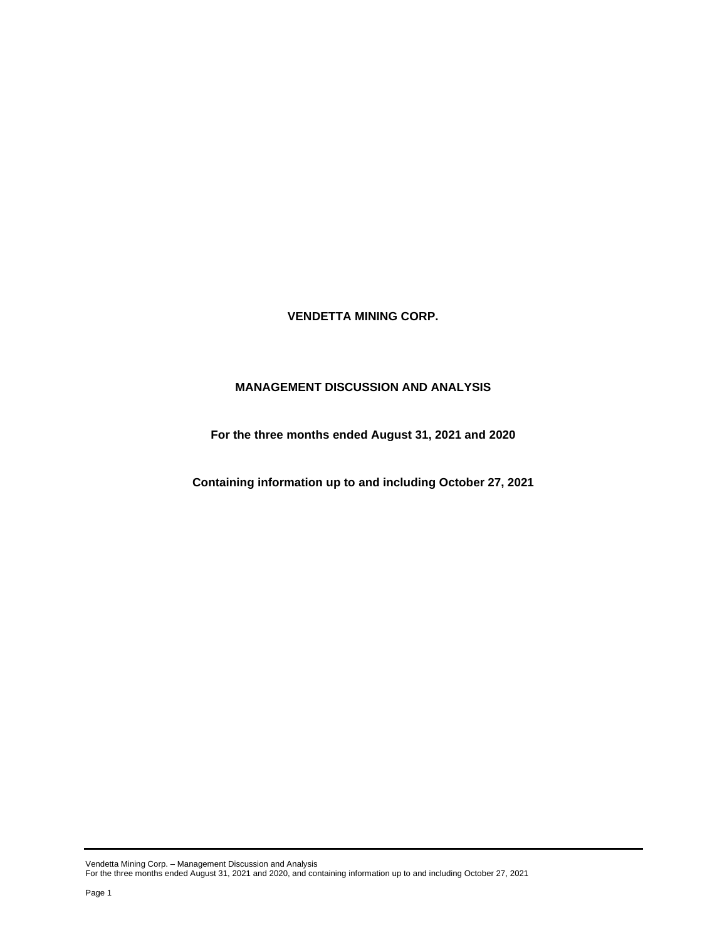**VENDETTA MINING CORP.**

# **MANAGEMENT DISCUSSION AND ANALYSIS**

**For the three months ended August 31, 2021 and 2020**

**Containing information up to and including October 27, 2021**

Vendetta Mining Corp. – Management Discussion and Analysis For the three months ended August 31, 2021 and 2020, and containing information up to and including October 27, 2021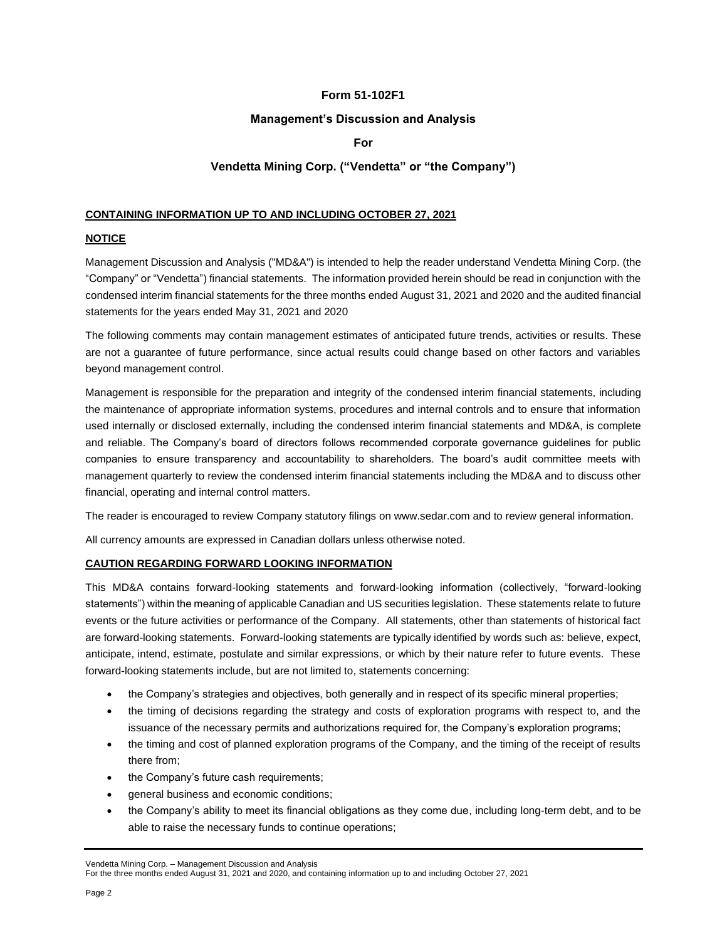# **Form 51-102F1**

## **Management's Discussion and Analysis**

# **For**

# **Vendetta Mining Corp. ("Vendetta" or "the Company")**

## **CONTAINING INFORMATION UP TO AND INCLUDING OCTOBER 27, 2021**

## **NOTICE**

Management Discussion and Analysis ("MD&A") is intended to help the reader understand Vendetta Mining Corp. (the "Company" or "Vendetta") financial statements. The information provided herein should be read in conjunction with the condensed interim financial statements for the three months ended August 31, 2021 and 2020 and the audited financial statements for the years ended May 31, 2021 and 2020

The following comments may contain management estimates of anticipated future trends, activities or results. These are not a guarantee of future performance, since actual results could change based on other factors and variables beyond management control.

Management is responsible for the preparation and integrity of the condensed interim financial statements, including the maintenance of appropriate information systems, procedures and internal controls and to ensure that information used internally or disclosed externally, including the condensed interim financial statements and MD&A, is complete and reliable. The Company's board of directors follows recommended corporate governance guidelines for public companies to ensure transparency and accountability to shareholders. The board's audit committee meets with management quarterly to review the condensed interim financial statements including the MD&A and to discuss other financial, operating and internal control matters.

The reader is encouraged to review Company statutory filings on www.sedar.com and to review general information.

All currency amounts are expressed in Canadian dollars unless otherwise noted.

## **CAUTION REGARDING FORWARD LOOKING INFORMATION**

This MD&A contains forward-looking statements and forward-looking information (collectively, "forward-looking statements") within the meaning of applicable Canadian and US securities legislation. These statements relate to future events or the future activities or performance of the Company. All statements, other than statements of historical fact are forward-looking statements. Forward-looking statements are typically identified by words such as: believe, expect, anticipate, intend, estimate, postulate and similar expressions, or which by their nature refer to future events. These forward-looking statements include, but are not limited to, statements concerning:

- the Company's strategies and objectives, both generally and in respect of its specific mineral properties;
- the timing of decisions regarding the strategy and costs of exploration programs with respect to, and the issuance of the necessary permits and authorizations required for, the Company's exploration programs;
- the timing and cost of planned exploration programs of the Company, and the timing of the receipt of results there from;
- the Company's future cash requirements;
- general business and economic conditions;
- the Company's ability to meet its financial obligations as they come due, including long-term debt, and to be able to raise the necessary funds to continue operations;

Vendetta Mining Corp. – Management Discussion and Analysis

For the three months ended August 31, 2021 and 2020, and containing information up to and including October 27, 2021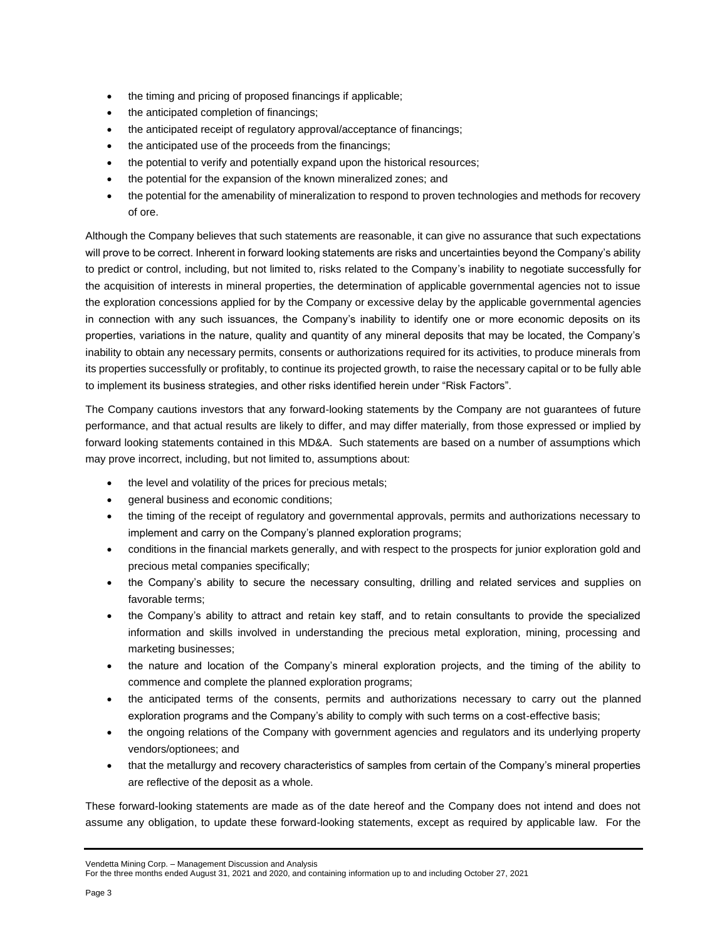- the timing and pricing of proposed financings if applicable;
- the anticipated completion of financings;
- the anticipated receipt of regulatory approval/acceptance of financings;
- the anticipated use of the proceeds from the financings;
- the potential to verify and potentially expand upon the historical resources;
- the potential for the expansion of the known mineralized zones; and
- the potential for the amenability of mineralization to respond to proven technologies and methods for recovery of ore.

Although the Company believes that such statements are reasonable, it can give no assurance that such expectations will prove to be correct. Inherent in forward looking statements are risks and uncertainties beyond the Company's ability to predict or control, including, but not limited to, risks related to the Company's inability to negotiate successfully for the acquisition of interests in mineral properties, the determination of applicable governmental agencies not to issue the exploration concessions applied for by the Company or excessive delay by the applicable governmental agencies in connection with any such issuances, the Company's inability to identify one or more economic deposits on its properties, variations in the nature, quality and quantity of any mineral deposits that may be located, the Company's inability to obtain any necessary permits, consents or authorizations required for its activities, to produce minerals from its properties successfully or profitably, to continue its projected growth, to raise the necessary capital or to be fully able to implement its business strategies, and other risks identified herein under "Risk Factors".

The Company cautions investors that any forward-looking statements by the Company are not guarantees of future performance, and that actual results are likely to differ, and may differ materially, from those expressed or implied by forward looking statements contained in this MD&A. Such statements are based on a number of assumptions which may prove incorrect, including, but not limited to, assumptions about:

- the level and volatility of the prices for precious metals;
- general business and economic conditions;
- the timing of the receipt of regulatory and governmental approvals, permits and authorizations necessary to implement and carry on the Company's planned exploration programs;
- conditions in the financial markets generally, and with respect to the prospects for junior exploration gold and precious metal companies specifically;
- the Company's ability to secure the necessary consulting, drilling and related services and supplies on favorable terms;
- the Company's ability to attract and retain key staff, and to retain consultants to provide the specialized information and skills involved in understanding the precious metal exploration, mining, processing and marketing businesses;
- the nature and location of the Company's mineral exploration projects, and the timing of the ability to commence and complete the planned exploration programs;
- the anticipated terms of the consents, permits and authorizations necessary to carry out the planned exploration programs and the Company's ability to comply with such terms on a cost-effective basis;
- the ongoing relations of the Company with government agencies and regulators and its underlying property vendors/optionees; and
- that the metallurgy and recovery characteristics of samples from certain of the Company's mineral properties are reflective of the deposit as a whole.

These forward-looking statements are made as of the date hereof and the Company does not intend and does not assume any obligation, to update these forward-looking statements, except as required by applicable law. For the

```
Vendetta Mining Corp. – Management Discussion and Analysis
```

```
For the three months ended August 31, 2021 and 2020, and containing information up to and including October 27, 2021
```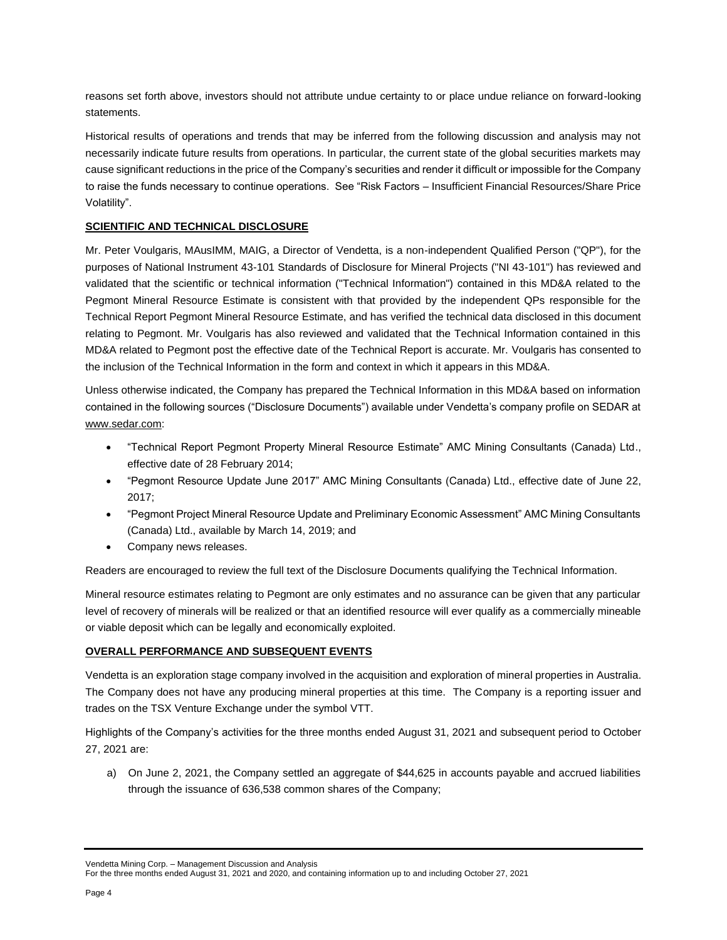reasons set forth above, investors should not attribute undue certainty to or place undue reliance on forward-looking statements.

Historical results of operations and trends that may be inferred from the following discussion and analysis may not necessarily indicate future results from operations. In particular, the current state of the global securities markets may cause significant reductions in the price of the Company's securities and render it difficult or impossible for the Company to raise the funds necessary to continue operations. See "Risk Factors – Insufficient Financial Resources/Share Price Volatility".

## **SCIENTIFIC AND TECHNICAL DISCLOSURE**

Mr. Peter Voulgaris, MAusIMM, MAIG, a Director of Vendetta, is a non-independent Qualified Person ("QP"), for the purposes of National Instrument 43-101 Standards of Disclosure for Mineral Projects ("NI 43-101") has reviewed and validated that the scientific or technical information ("Technical Information") contained in this MD&A related to the Pegmont Mineral Resource Estimate is consistent with that provided by the independent QPs responsible for the Technical Report Pegmont Mineral Resource Estimate, and has verified the technical data disclosed in this document relating to Pegmont. Mr. Voulgaris has also reviewed and validated that the Technical Information contained in this MD&A related to Pegmont post the effective date of the Technical Report is accurate. Mr. Voulgaris has consented to the inclusion of the Technical Information in the form and context in which it appears in this MD&A.

Unless otherwise indicated, the Company has prepared the Technical Information in this MD&A based on information contained in the following sources ("Disclosure Documents") available under Vendetta's company profile on SEDAR at [www.sedar.com:](http://www.sedar.com/)

- "Technical Report Pegmont Property Mineral Resource Estimate" AMC Mining Consultants (Canada) Ltd., effective date of 28 February 2014;
- "Pegmont Resource Update June 2017" AMC Mining Consultants (Canada) Ltd., effective date of June 22, 2017;
- "Pegmont Project Mineral Resource Update and Preliminary Economic Assessment" AMC Mining Consultants (Canada) Ltd., available by March 14, 2019; and
- Company news releases.

Readers are encouraged to review the full text of the Disclosure Documents qualifying the Technical Information.

Mineral resource estimates relating to Pegmont are only estimates and no assurance can be given that any particular level of recovery of minerals will be realized or that an identified resource will ever qualify as a commercially mineable or viable deposit which can be legally and economically exploited.

## **OVERALL PERFORMANCE AND SUBSEQUENT EVENTS**

Vendetta is an exploration stage company involved in the acquisition and exploration of mineral properties in Australia. The Company does not have any producing mineral properties at this time. The Company is a reporting issuer and trades on the TSX Venture Exchange under the symbol VTT.

Highlights of the Company's activities for the three months ended August 31, 2021 and subsequent period to October 27, 2021 are:

a) On June 2, 2021, the Company settled an aggregate of \$44,625 in accounts payable and accrued liabilities through the issuance of 636,538 common shares of the Company;

Vendetta Mining Corp. – Management Discussion and Analysis

For the three months ended August 31, 2021 and 2020, and containing information up to and including October 27, 2021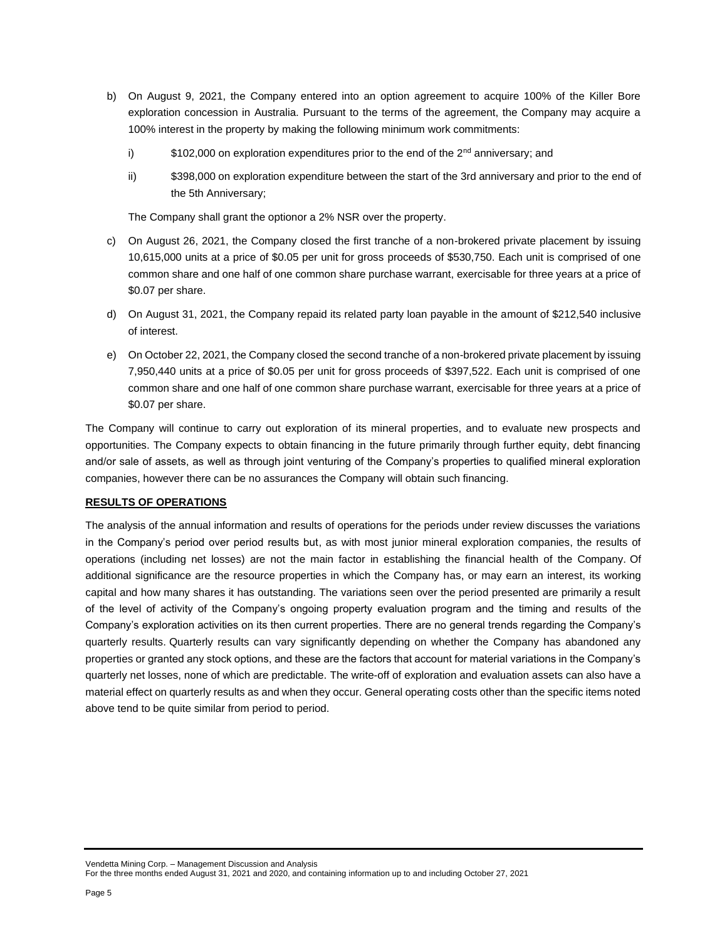- b) On August 9, 2021, the Company entered into an option agreement to acquire 100% of the Killer Bore exploration concession in Australia. Pursuant to the terms of the agreement, the Company may acquire a 100% interest in the property by making the following minimum work commitments:
	- i)  $$102,000$  on exploration expenditures prior to the end of the  $2<sup>nd</sup>$  anniversary; and
	- ii) \$398,000 on exploration expenditure between the start of the 3rd anniversary and prior to the end of the 5th Anniversary;

The Company shall grant the optionor a 2% NSR over the property.

- c) On August 26, 2021, the Company closed the first tranche of a non-brokered private placement by issuing 10,615,000 units at a price of \$0.05 per unit for gross proceeds of \$530,750. Each unit is comprised of one common share and one half of one common share purchase warrant, exercisable for three years at a price of \$0.07 per share.
- d) On August 31, 2021, the Company repaid its related party loan payable in the amount of \$212,540 inclusive of interest.
- e) On October 22, 2021, the Company closed the second tranche of a non-brokered private placement by issuing 7,950,440 units at a price of \$0.05 per unit for gross proceeds of \$397,522. Each unit is comprised of one common share and one half of one common share purchase warrant, exercisable for three years at a price of \$0.07 per share.

The Company will continue to carry out exploration of its mineral properties, and to evaluate new prospects and opportunities. The Company expects to obtain financing in the future primarily through further equity, debt financing and/or sale of assets, as well as through joint venturing of the Company's properties to qualified mineral exploration companies, however there can be no assurances the Company will obtain such financing.

# **RESULTS OF OPERATIONS**

The analysis of the annual information and results of operations for the periods under review discusses the variations in the Company's period over period results but, as with most junior mineral exploration companies, the results of operations (including net losses) are not the main factor in establishing the financial health of the Company. Of additional significance are the resource properties in which the Company has, or may earn an interest, its working capital and how many shares it has outstanding. The variations seen over the period presented are primarily a result of the level of activity of the Company's ongoing property evaluation program and the timing and results of the Company's exploration activities on its then current properties. There are no general trends regarding the Company's quarterly results. Quarterly results can vary significantly depending on whether the Company has abandoned any properties or granted any stock options, and these are the factors that account for material variations in the Company's quarterly net losses, none of which are predictable. The write-off of exploration and evaluation assets can also have a material effect on quarterly results as and when they occur. General operating costs other than the specific items noted above tend to be quite similar from period to period.

Vendetta Mining Corp. – Management Discussion and Analysis For the three months ended August 31, 2021 and 2020, and containing information up to and including October 27, 2021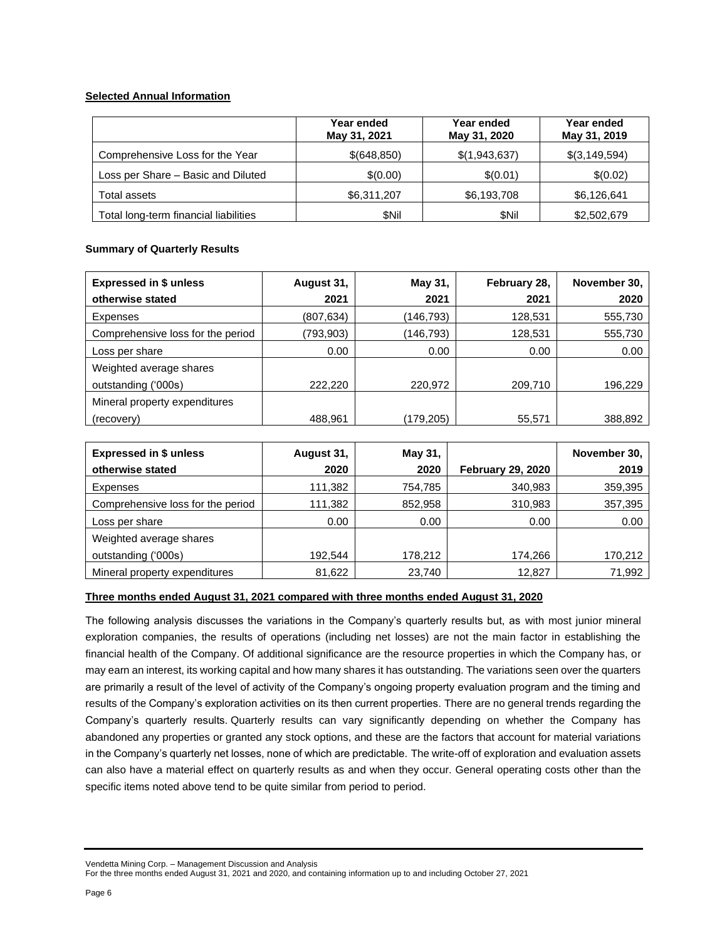# **Selected Annual Information**

|                                       | Year ended<br>May 31, 2021 | Year ended<br>May 31, 2020 | Year ended<br>May 31, 2019 |
|---------------------------------------|----------------------------|----------------------------|----------------------------|
| Comprehensive Loss for the Year       | \$(648,850)                | \$(1,943,637)              | \$(3,149,594)              |
| Loss per Share - Basic and Diluted    | \$(0.00)                   | \$(0.01)                   | \$(0.02)                   |
| Total assets                          | \$6,311,207                | \$6,193,708                | \$6,126,641                |
| Total long-term financial liabilities | \$Nil                      | <b>SNil</b>                | \$2,502,679                |

# **Summary of Quarterly Results**

| <b>Expressed in \$ unless</b>     | August 31, | May 31,   | February 28, | November 30, |
|-----------------------------------|------------|-----------|--------------|--------------|
| otherwise stated                  | 2021       | 2021      | 2021         | 2020         |
| Expenses                          | (807, 634) | (146,793) | 128,531      | 555,730      |
| Comprehensive loss for the period | (793,903)  | (146,793) | 128,531      | 555,730      |
| Loss per share                    | 0.00       | 0.00      | 0.00         | 0.00         |
| Weighted average shares           |            |           |              |              |
| outstanding ('000s)               | 222,220    | 220,972   | 209,710      | 196,229      |
| Mineral property expenditures     |            |           |              |              |
| (recovery)                        | 488,961    | (179,205) | 55,571       | 388,892      |

| <b>Expressed in \$ unless</b>     | August 31, | May 31, |                          | November 30, |
|-----------------------------------|------------|---------|--------------------------|--------------|
| otherwise stated                  | 2020       | 2020    | <b>February 29, 2020</b> | 2019         |
| Expenses                          | 111,382    | 754,785 | 340,983                  | 359,395      |
| Comprehensive loss for the period | 111,382    | 852,958 | 310,983                  | 357,395      |
| Loss per share                    | 0.00       | 0.00    | 0.00                     | 0.00         |
| Weighted average shares           |            |         |                          |              |
| outstanding ('000s)               | 192,544    | 178,212 | 174,266                  | 170,212      |
| Mineral property expenditures     | 81,622     | 23,740  | 12.827                   | 71,992       |

# **Three months ended August 31, 2021 compared with three months ended August 31, 2020**

The following analysis discusses the variations in the Company's quarterly results but, as with most junior mineral exploration companies, the results of operations (including net losses) are not the main factor in establishing the financial health of the Company. Of additional significance are the resource properties in which the Company has, or may earn an interest, its working capital and how many shares it has outstanding. The variations seen over the quarters are primarily a result of the level of activity of the Company's ongoing property evaluation program and the timing and results of the Company's exploration activities on its then current properties. There are no general trends regarding the Company's quarterly results. Quarterly results can vary significantly depending on whether the Company has abandoned any properties or granted any stock options, and these are the factors that account for material variations in the Company's quarterly net losses, none of which are predictable. The write-off of exploration and evaluation assets can also have a material effect on quarterly results as and when they occur. General operating costs other than the specific items noted above tend to be quite similar from period to period.

Vendetta Mining Corp. – Management Discussion and Analysis

For the three months ended August 31, 2021 and 2020, and containing information up to and including October 27, 2021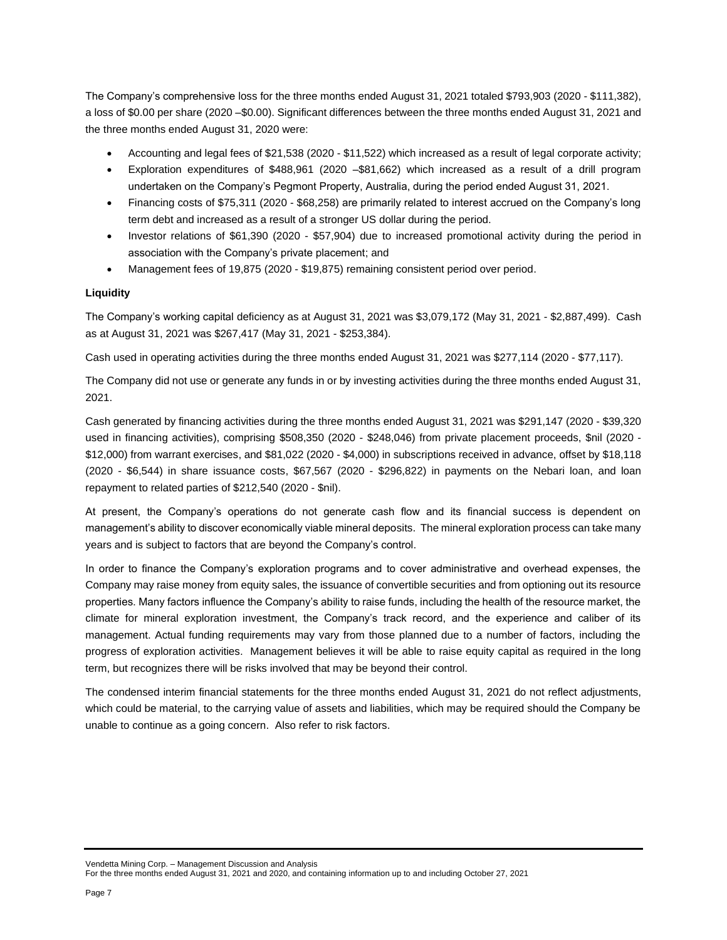The Company's comprehensive loss for the three months ended August 31, 2021 totaled \$793,903 (2020 - \$111,382), a loss of \$0.00 per share (2020 –\$0.00). Significant differences between the three months ended August 31, 2021 and the three months ended August 31, 2020 were:

- Accounting and legal fees of \$21,538 (2020 \$11,522) which increased as a result of legal corporate activity;
- Exploration expenditures of \$488,961 (2020 –\$81,662) which increased as a result of a drill program undertaken on the Company's Pegmont Property, Australia, during the period ended August 31, 2021.
- Financing costs of \$75,311 (2020 \$68,258) are primarily related to interest accrued on the Company's long term debt and increased as a result of a stronger US dollar during the period.
- Investor relations of \$61,390 (2020 \$57,904) due to increased promotional activity during the period in association with the Company's private placement; and
- Management fees of 19,875 (2020 \$19,875) remaining consistent period over period.

## **Liquidity**

The Company's working capital deficiency as at August 31, 2021 was \$3,079,172 (May 31, 2021 - \$2,887,499). Cash as at August 31, 2021 was \$267,417 (May 31, 2021 - \$253,384).

Cash used in operating activities during the three months ended August 31, 2021 was \$277,114 (2020 - \$77,117).

The Company did not use or generate any funds in or by investing activities during the three months ended August 31, 2021.

Cash generated by financing activities during the three months ended August 31, 2021 was \$291,147 (2020 - \$39,320 used in financing activities), comprising \$508,350 (2020 - \$248,046) from private placement proceeds, \$nil (2020 - \$12,000) from warrant exercises, and \$81,022 (2020 - \$4,000) in subscriptions received in advance, offset by \$18,118 (2020 - \$6,544) in share issuance costs, \$67,567 (2020 - \$296,822) in payments on the Nebari loan, and loan repayment to related parties of \$212,540 (2020 - \$nil).

At present, the Company's operations do not generate cash flow and its financial success is dependent on management's ability to discover economically viable mineral deposits. The mineral exploration process can take many years and is subject to factors that are beyond the Company's control.

In order to finance the Company's exploration programs and to cover administrative and overhead expenses, the Company may raise money from equity sales, the issuance of convertible securities and from optioning out its resource properties. Many factors influence the Company's ability to raise funds, including the health of the resource market, the climate for mineral exploration investment, the Company's track record, and the experience and caliber of its management. Actual funding requirements may vary from those planned due to a number of factors, including the progress of exploration activities. Management believes it will be able to raise equity capital as required in the long term, but recognizes there will be risks involved that may be beyond their control.

The condensed interim financial statements for the three months ended August 31, 2021 do not reflect adjustments, which could be material, to the carrying value of assets and liabilities, which may be required should the Company be unable to continue as a going concern. Also refer to risk factors.

Vendetta Mining Corp. – Management Discussion and Analysis For the three months ended August 31, 2021 and 2020, and containing information up to and including October 27, 2021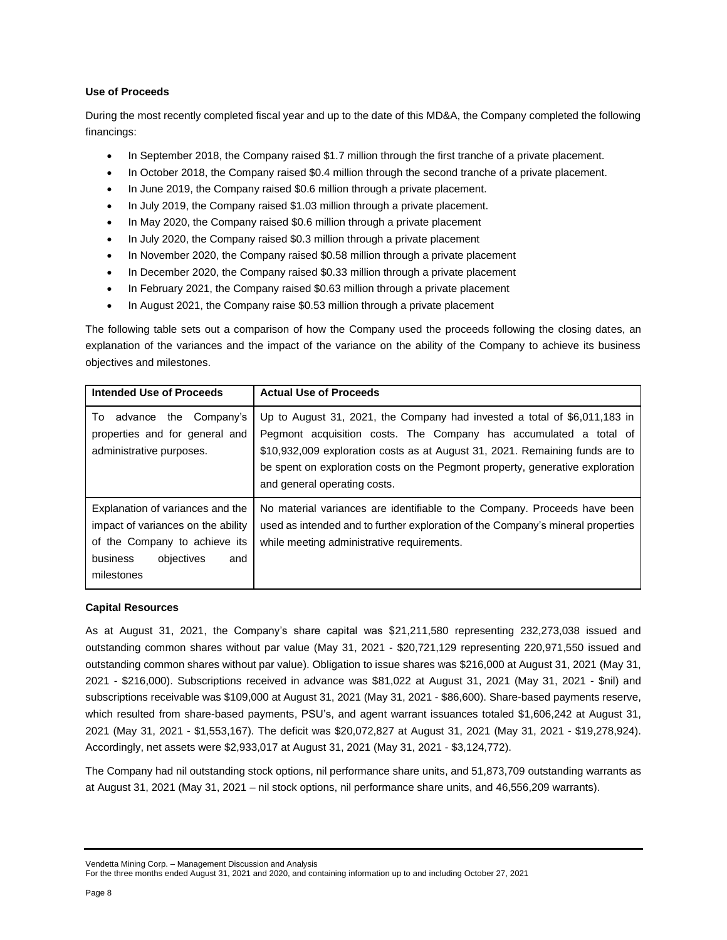# **Use of Proceeds**

During the most recently completed fiscal year and up to the date of this MD&A, the Company completed the following financings:

- In September 2018, the Company raised \$1.7 million through the first tranche of a private placement.
- In October 2018, the Company raised \$0.4 million through the second tranche of a private placement.
- In June 2019, the Company raised \$0.6 million through a private placement.
- In July 2019, the Company raised \$1.03 million through a private placement.
- In May 2020, the Company raised \$0.6 million through a private placement
- In July 2020, the Company raised \$0.3 million through a private placement
- In November 2020, the Company raised \$0.58 million through a private placement
- In December 2020, the Company raised \$0.33 million through a private placement
- In February 2021, the Company raised \$0.63 million through a private placement
- In August 2021, the Company raise \$0.53 million through a private placement

The following table sets out a comparison of how the Company used the proceeds following the closing dates, an explanation of the variances and the impact of the variance on the ability of the Company to achieve its business objectives and milestones.

| <b>Intended Use of Proceeds</b>                                                                                                                        | <b>Actual Use of Proceeds</b>                                                                                                                                                                                                                                                                                                                   |
|--------------------------------------------------------------------------------------------------------------------------------------------------------|-------------------------------------------------------------------------------------------------------------------------------------------------------------------------------------------------------------------------------------------------------------------------------------------------------------------------------------------------|
| advance the Company's<br>To<br>properties and for general and<br>administrative purposes.                                                              | Up to August 31, 2021, the Company had invested a total of \$6,011,183 in<br>Pegmont acquisition costs. The Company has accumulated a total of<br>\$10,932,009 exploration costs as at August 31, 2021. Remaining funds are to<br>be spent on exploration costs on the Pegmont property, generative exploration<br>and general operating costs. |
| Explanation of variances and the<br>impact of variances on the ability<br>of the Company to achieve its<br>business<br>objectives<br>and<br>milestones | No material variances are identifiable to the Company. Proceeds have been<br>used as intended and to further exploration of the Company's mineral properties<br>while meeting administrative requirements.                                                                                                                                      |

## **Capital Resources**

As at August 31, 2021, the Company's share capital was \$21,211,580 representing 232,273,038 issued and outstanding common shares without par value (May 31, 2021 - \$20,721,129 representing 220,971,550 issued and outstanding common shares without par value). Obligation to issue shares was \$216,000 at August 31, 2021 (May 31, 2021 - \$216,000). Subscriptions received in advance was \$81,022 at August 31, 2021 (May 31, 2021 - \$nil) and subscriptions receivable was \$109,000 at August 31, 2021 (May 31, 2021 - \$86,600). Share-based payments reserve, which resulted from share-based payments, PSU's, and agent warrant issuances totaled \$1,606,242 at August 31, 2021 (May 31, 2021 - \$1,553,167). The deficit was \$20,072,827 at August 31, 2021 (May 31, 2021 - \$19,278,924). Accordingly, net assets were \$2,933,017 at August 31, 2021 (May 31, 2021 - \$3,124,772).

The Company had nil outstanding stock options, nil performance share units, and 51,873,709 outstanding warrants as at August 31, 2021 (May 31, 2021 – nil stock options, nil performance share units, and 46,556,209 warrants).

Vendetta Mining Corp. – Management Discussion and Analysis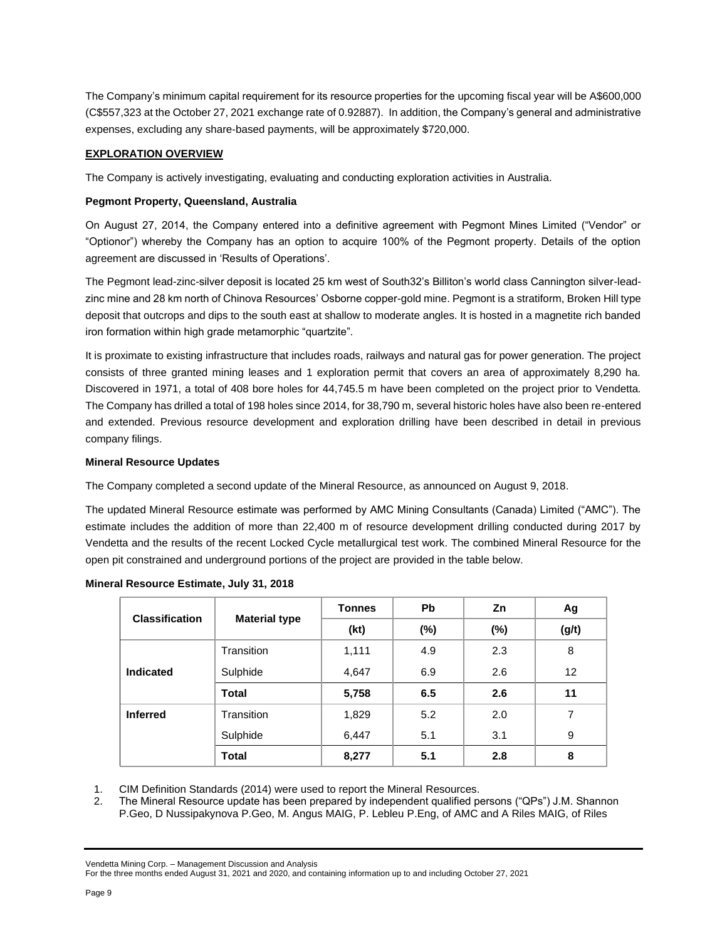The Company's minimum capital requirement for its resource properties for the upcoming fiscal year will be A\$600,000 (C\$557,323 at the October 27, 2021 exchange rate of 0.92887). In addition, the Company's general and administrative expenses, excluding any share-based payments, will be approximately \$720,000.

# **EXPLORATION OVERVIEW**

The Company is actively investigating, evaluating and conducting exploration activities in Australia.

## **Pegmont Property, Queensland, Australia**

On August 27, 2014, the Company entered into a definitive agreement with Pegmont Mines Limited ("Vendor" or "Optionor") whereby the Company has an option to acquire 100% of the Pegmont property. Details of the option agreement are discussed in 'Results of Operations'.

The Pegmont lead-zinc-silver deposit is located 25 km west of South32's Billiton's world class Cannington silver-leadzinc mine and 28 km north of Chinova Resources' Osborne copper-gold mine. Pegmont is a stratiform, Broken Hill type deposit that outcrops and dips to the south east at shallow to moderate angles. It is hosted in a magnetite rich banded iron formation within high grade metamorphic "quartzite".

It is proximate to existing infrastructure that includes roads, railways and natural gas for power generation. The project consists of three granted mining leases and 1 exploration permit that covers an area of approximately 8,290 ha. Discovered in 1971, a total of 408 bore holes for 44,745.5 m have been completed on the project prior to Vendetta. The Company has drilled a total of 198 holes since 2014, for 38,790 m, several historic holes have also been re-entered and extended. Previous resource development and exploration drilling have been described in detail in previous company filings.

## **Mineral Resource Updates**

The Company completed a second update of the Mineral Resource, as announced on August 9, 2018.

The updated Mineral Resource estimate was performed by AMC Mining Consultants (Canada) Limited ("AMC"). The estimate includes the addition of more than 22,400 m of resource development drilling conducted during 2017 by Vendetta and the results of the recent Locked Cycle metallurgical test work. The combined Mineral Resource for the open pit constrained and underground portions of the project are provided in the table below.

| <b>Classification</b> |                      | <b>Tonnes</b> | <b>Pb</b> | Zn     | Ag                |
|-----------------------|----------------------|---------------|-----------|--------|-------------------|
|                       | <b>Material type</b> | (kt)          | $(\%)$    | $(\%)$ | (g/t)             |
|                       | Transition           | 1,111         | 4.9       | 2.3    | 8                 |
| Indicated             | Sulphide             | 4,647         | 6.9       | 2.6    | $12 \overline{ }$ |
|                       | Total                | 5,758         | 6.5       | 2.6    | 11                |
| <b>Inferred</b>       | Transition           | 1,829         | 5.2       | 2.0    | 7                 |
|                       | Sulphide             | 6,447         | 5.1       | 3.1    | 9                 |
|                       | Total                | 8,277         | 5.1       | 2.8    | 8                 |

## **Mineral Resource Estimate, July 31, 2018**

1. CIM Definition Standards (2014) were used to report the Mineral Resources.

2. The Mineral Resource update has been prepared by independent qualified persons ("QPs") J.M. Shannon P.Geo, D Nussipakynova P.Geo, M. Angus MAIG, P. Lebleu P.Eng, of AMC and A Riles MAIG, of Riles

#### Vendetta Mining Corp. – Management Discussion and Analysis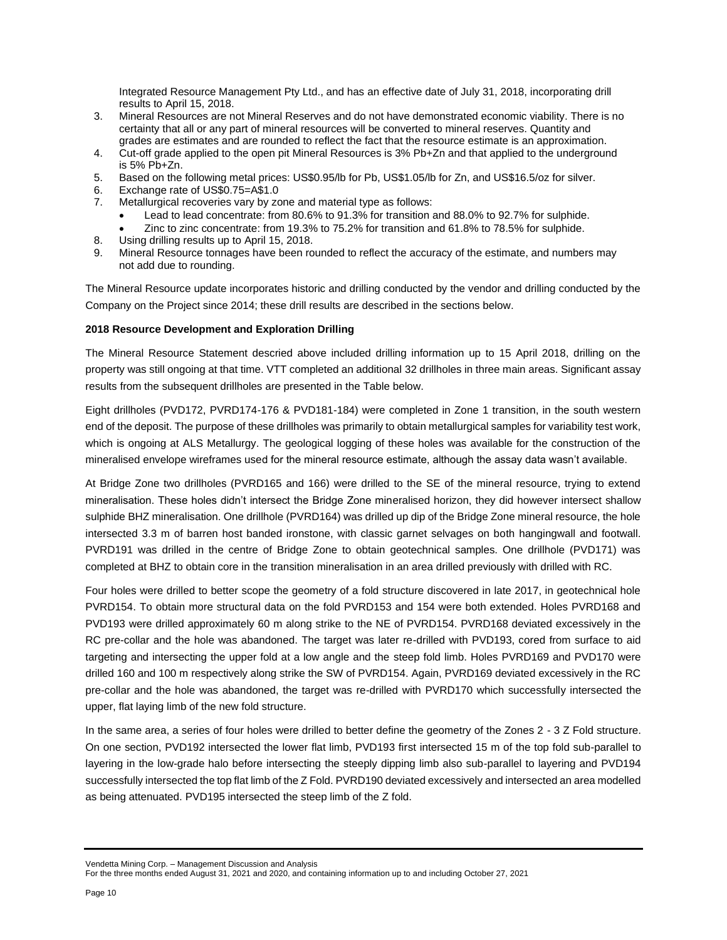Integrated Resource Management Pty Ltd., and has an effective date of July 31, 2018, incorporating drill results to April 15, 2018.

- 3. Mineral Resources are not Mineral Reserves and do not have demonstrated economic viability. There is no certainty that all or any part of mineral resources will be converted to mineral reserves. Quantity and grades are estimates and are rounded to reflect the fact that the resource estimate is an approximation.
- 4. Cut-off grade applied to the open pit Mineral Resources is 3% Pb+Zn and that applied to the underground is 5% Pb+Zn.
- 5. Based on the following metal prices: US\$0.95/lb for Pb, US\$1.05/lb for Zn, and US\$16.5/oz for silver.
- 6. Exchange rate of US\$0.75=A\$1.0
- 7. Metallurgical recoveries vary by zone and material type as follows:
	- Lead to lead concentrate: from 80.6% to 91.3% for transition and 88.0% to 92.7% for sulphide.
	- Zinc to zinc concentrate: from 19.3% to 75.2% for transition and 61.8% to 78.5% for sulphide.
- 8. Using drilling results up to April 15, 2018.
- 9. Mineral Resource tonnages have been rounded to reflect the accuracy of the estimate, and numbers may not add due to rounding.

The Mineral Resource update incorporates historic and drilling conducted by the vendor and drilling conducted by the Company on the Project since 2014; these drill results are described in the sections below.

## **2018 Resource Development and Exploration Drilling**

The Mineral Resource Statement descried above included drilling information up to 15 April 2018, drilling on the property was still ongoing at that time. VTT completed an additional 32 drillholes in three main areas. Significant assay results from the subsequent drillholes are presented in the Table below.

Eight drillholes (PVD172, PVRD174-176 & PVD181-184) were completed in Zone 1 transition, in the south western end of the deposit. The purpose of these drillholes was primarily to obtain metallurgical samples for variability test work, which is ongoing at ALS Metallurgy. The geological logging of these holes was available for the construction of the mineralised envelope wireframes used for the mineral resource estimate, although the assay data wasn't available.

At Bridge Zone two drillholes (PVRD165 and 166) were drilled to the SE of the mineral resource, trying to extend mineralisation. These holes didn't intersect the Bridge Zone mineralised horizon, they did however intersect shallow sulphide BHZ mineralisation. One drillhole (PVRD164) was drilled up dip of the Bridge Zone mineral resource, the hole intersected 3.3 m of barren host banded ironstone, with classic garnet selvages on both hangingwall and footwall. PVRD191 was drilled in the centre of Bridge Zone to obtain geotechnical samples. One drillhole (PVD171) was completed at BHZ to obtain core in the transition mineralisation in an area drilled previously with drilled with RC.

Four holes were drilled to better scope the geometry of a fold structure discovered in late 2017, in geotechnical hole PVRD154. To obtain more structural data on the fold PVRD153 and 154 were both extended. Holes PVRD168 and PVD193 were drilled approximately 60 m along strike to the NE of PVRD154. PVRD168 deviated excessively in the RC pre-collar and the hole was abandoned. The target was later re-drilled with PVD193, cored from surface to aid targeting and intersecting the upper fold at a low angle and the steep fold limb. Holes PVRD169 and PVD170 were drilled 160 and 100 m respectively along strike the SW of PVRD154. Again, PVRD169 deviated excessively in the RC pre-collar and the hole was abandoned, the target was re-drilled with PVRD170 which successfully intersected the upper, flat laying limb of the new fold structure.

In the same area, a series of four holes were drilled to better define the geometry of the Zones 2 - 3 Z Fold structure. On one section, PVD192 intersected the lower flat limb, PVD193 first intersected 15 m of the top fold sub-parallel to layering in the low-grade halo before intersecting the steeply dipping limb also sub-parallel to layering and PVD194 successfully intersected the top flat limb of the Z Fold. PVRD190 deviated excessively and intersected an area modelled as being attenuated. PVD195 intersected the steep limb of the Z fold.

Vendetta Mining Corp. – Management Discussion and Analysis

For the three months ended August 31, 2021 and 2020, and containing information up to and including October 27, 2021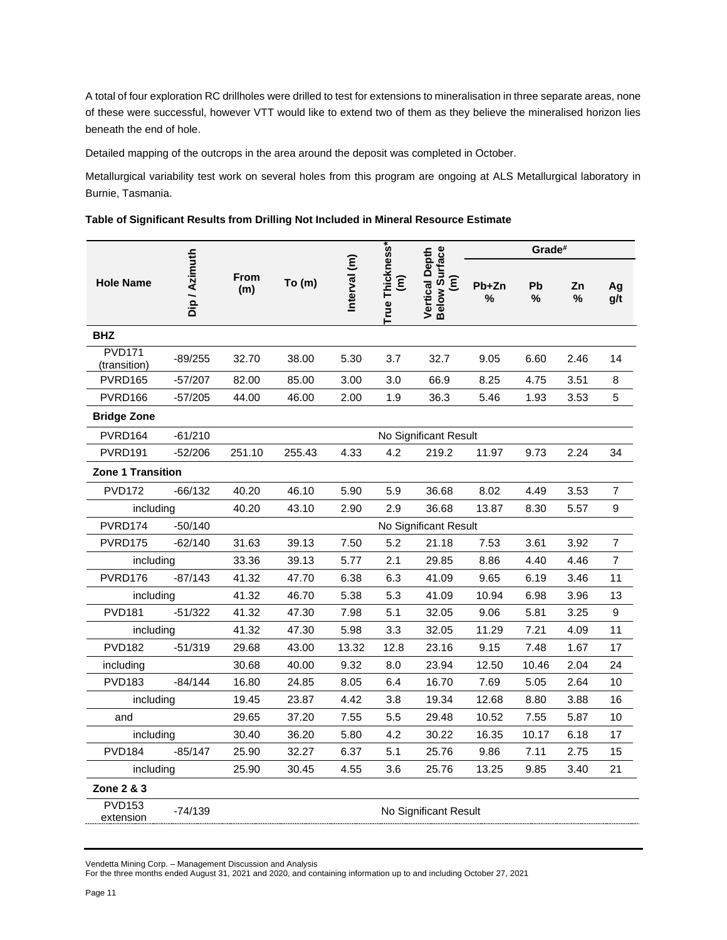A total of four exploration RC drillholes were drilled to test for extensions to mineralisation in three separate areas, none of these were successful, however VTT would like to extend two of them as they believe the mineralised horizon lies beneath the end of hole.

Detailed mapping of the outcrops in the area around the deposit was completed in October.

Metallurgical variability test work on several holes from this program are ongoing at ALS Metallurgical laboratory in Burnie, Tasmania.

|  |  | Table of Significant Results from Drilling Not Included in Mineral Resource Estimate |  |  |
|--|--|--------------------------------------------------------------------------------------|--|--|
|  |  |                                                                                      |  |  |

|                               |               |                    |        |              |                                              |                                                         |            | Grade#  |         |                |
|-------------------------------|---------------|--------------------|--------|--------------|----------------------------------------------|---------------------------------------------------------|------------|---------|---------|----------------|
| <b>Hole Name</b>              | Dip / Azimuth | <b>From</b><br>(m) | To(m)  | Interval (m) | True Thickness*<br>$\widehat{\bm{\epsilon}}$ | Vertical Depth<br>Below Surface<br>$\widehat{\epsilon}$ | Pb+Zn<br>% | Pb<br>% | Zn<br>% | Ag<br>g/t      |
| <b>BHZ</b>                    |               |                    |        |              |                                              |                                                         |            |         |         |                |
| <b>PVD171</b><br>(transition) | $-89/255$     | 32.70              | 38.00  | 5.30         | 3.7                                          | 32.7                                                    | 9.05       | 6.60    | 2.46    | 14             |
| PVRD165                       | $-57/207$     | 82.00              | 85.00  | 3.00         | 3.0                                          | 66.9                                                    | 8.25       | 4.75    | 3.51    | 8              |
| PVRD166                       | $-57/205$     | 44.00              | 46.00  | 2.00         | 1.9                                          | 36.3                                                    | 5.46       | 1.93    | 3.53    | 5              |
| <b>Bridge Zone</b>            |               |                    |        |              |                                              |                                                         |            |         |         |                |
| PVRD <sub>164</sub>           | $-61/210$     |                    |        |              |                                              | No Significant Result                                   |            |         |         |                |
| PVRD <sub>191</sub>           | $-52/206$     | 251.10             | 255.43 | 4.33         | 4.2                                          | 219.2                                                   | 11.97      | 9.73    | 2.24    | 34             |
| <b>Zone 1 Transition</b>      |               |                    |        |              |                                              |                                                         |            |         |         |                |
| <b>PVD172</b>                 | $-66/132$     | 40.20              | 46.10  | 5.90         | 5.9                                          | 36.68                                                   | 8.02       | 4.49    | 3.53    | 7              |
| including                     |               | 40.20              | 43.10  | 2.90         | 2.9                                          | 36.68                                                   | 13.87      | 8.30    | 5.57    | 9              |
| PVRD174                       | $-50/140$     |                    |        |              |                                              | No Significant Result                                   |            |         |         |                |
| <b>PVRD175</b>                | $-62/140$     | 31.63              | 39.13  | 7.50         | 5.2                                          | 21.18                                                   | 7.53       | 3.61    | 3.92    | 7              |
| including                     |               | 33.36              | 39.13  | 5.77         | 2.1                                          | 29.85                                                   | 8.86       | 4.40    | 4.46    | $\overline{7}$ |
| PVRD176                       | $-87/143$     | 41.32              | 47.70  | 6.38         | 6.3                                          | 41.09                                                   | 9.65       | 6.19    | 3.46    | 11             |
| including                     |               | 41.32              | 46.70  | 5.38         | 5.3                                          | 41.09                                                   | 10.94      | 6.98    | 3.96    | 13             |
| <b>PVD181</b>                 | $-51/322$     | 41.32              | 47.30  | 7.98         | 5.1                                          | 32.05                                                   | 9.06       | 5.81    | 3.25    | 9              |
| including                     |               | 41.32              | 47.30  | 5.98         | 3.3                                          | 32.05                                                   | 11.29      | 7.21    | 4.09    | 11             |
| <b>PVD182</b>                 | $-51/319$     | 29.68              | 43.00  | 13.32        | 12.8                                         | 23.16                                                   | 9.15       | 7.48    | 1.67    | 17             |
| including                     |               | 30.68              | 40.00  | 9.32         | 8.0                                          | 23.94                                                   | 12.50      | 10.46   | 2.04    | 24             |
| <b>PVD183</b>                 | $-84/144$     | 16.80              | 24.85  | 8.05         | 6.4                                          | 16.70                                                   | 7.69       | 5.05    | 2.64    | 10             |
| including                     |               | 19.45              | 23.87  | 4.42         | 3.8                                          | 19.34                                                   | 12.68      | 8.80    | 3.88    | 16             |
| and                           |               | 29.65              | 37.20  | 7.55         | 5.5                                          | 29.48                                                   | 10.52      | 7.55    | 5.87    | 10             |
| including                     |               | 30.40              | 36.20  | 5.80         | 4.2                                          | 30.22                                                   | 16.35      | 10.17   | 6.18    | 17             |
| <b>PVD184</b>                 | $-85/147$     | 25.90              | 32.27  | 6.37         | 5.1                                          | 25.76                                                   | 9.86       | 7.11    | 2.75    | 15             |
| including                     |               | 25.90              | 30.45  | 4.55         | 3.6                                          | 25.76                                                   | 13.25      | 9.85    | 3.40    | 21             |
| Zone 2 & 3                    |               |                    |        |              |                                              |                                                         |            |         |         |                |
| <b>PVD153</b><br>extension    | -74/139       |                    |        |              |                                              | No Significant Result                                   |            |         |         |                |

Vendetta Mining Corp. – Management Discussion and Analysis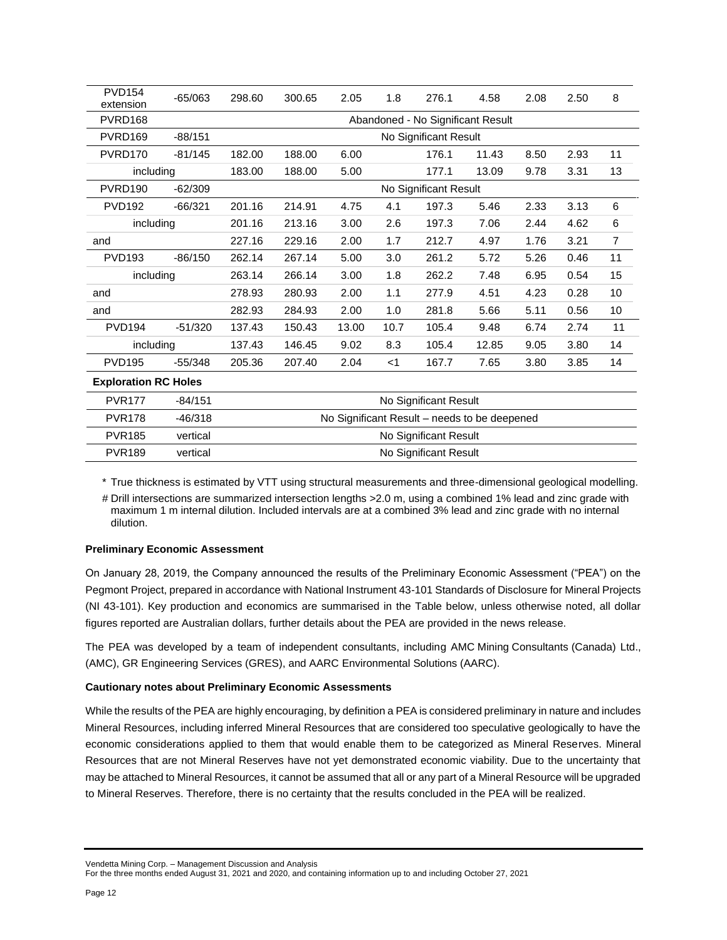| <b>PVD154</b><br>extension  | $-65/063$ | 298.60 | 300.65                | 2.05  | 1.8   | 276.1                                        | 4.58  | 2.08 | 2.50 | 8  |
|-----------------------------|-----------|--------|-----------------------|-------|-------|----------------------------------------------|-------|------|------|----|
| PVRD168                     |           |        |                       |       |       | Abandoned - No Significant Result            |       |      |      |    |
| PVRD169                     | $-88/151$ |        |                       |       |       | No Significant Result                        |       |      |      |    |
| PVRD170                     | $-81/145$ | 182.00 | 188.00                | 6.00  |       | 176.1                                        | 11.43 | 8.50 | 2.93 | 11 |
| including                   |           | 183.00 | 188.00                | 5.00  |       | 177.1                                        | 13.09 | 9.78 | 3.31 | 13 |
| PVRD <sub>190</sub>         | $-62/309$ |        | No Significant Result |       |       |                                              |       |      |      |    |
| <b>PVD192</b>               | $-66/321$ | 201.16 | 214.91                | 4.75  | 4.1   | 197.3                                        | 5.46  | 2.33 | 3.13 | 6  |
| including                   |           | 201.16 | 213.16                | 3.00  | 2.6   | 197.3                                        | 7.06  | 2.44 | 4.62 | 6  |
| and                         |           | 227.16 | 229.16                | 2.00  | 1.7   | 212.7                                        | 4.97  | 1.76 | 3.21 | 7  |
| <b>PVD193</b>               | $-86/150$ | 262.14 | 267.14                | 5.00  | 3.0   | 261.2                                        | 5.72  | 5.26 | 0.46 | 11 |
| including                   |           | 263.14 | 266.14                | 3.00  | 1.8   | 262.2                                        | 7.48  | 6.95 | 0.54 | 15 |
| and                         |           | 278.93 | 280.93                | 2.00  | 1.1   | 277.9                                        | 4.51  | 4.23 | 0.28 | 10 |
| and                         |           | 282.93 | 284.93                | 2.00  | 1.0   | 281.8                                        | 5.66  | 5.11 | 0.56 | 10 |
| <b>PVD194</b>               | $-51/320$ | 137.43 | 150.43                | 13.00 | 10.7  | 105.4                                        | 9.48  | 6.74 | 2.74 | 11 |
| including                   |           | 137.43 | 146.45                | 9.02  | 8.3   | 105.4                                        | 12.85 | 9.05 | 3.80 | 14 |
| <b>PVD195</b>               | $-55/348$ | 205.36 | 207.40                | 2.04  | $<$ 1 | 167.7                                        | 7.65  | 3.80 | 3.85 | 14 |
| <b>Exploration RC Holes</b> |           |        |                       |       |       |                                              |       |      |      |    |
| <b>PVR177</b>               | $-84/151$ |        |                       |       |       | No Significant Result                        |       |      |      |    |
| <b>PVR178</b>               | $-46/318$ |        |                       |       |       | No Significant Result - needs to be deepened |       |      |      |    |
| <b>PVR185</b>               | vertical  |        |                       |       |       | No Significant Result                        |       |      |      |    |

\* True thickness is estimated by VTT using structural measurements and three-dimensional geological modelling.

PVR189 vertical vertical No Significant Result

# Drill intersections are summarized intersection lengths >2.0 m, using a combined 1% lead and zinc grade with maximum 1 m internal dilution. Included intervals are at a combined 3% lead and zinc grade with no internal dilution.

# **Preliminary Economic Assessment**

On January 28, 2019, the Company announced the results of the Preliminary Economic Assessment ("PEA") on the Pegmont Project, prepared in accordance with National Instrument 43-101 Standards of Disclosure for Mineral Projects (NI 43-101). Key production and economics are summarised in the Table below, unless otherwise noted, all dollar figures reported are Australian dollars, further details about the PEA are provided in the news release.

The PEA was developed by a team of independent consultants, including AMC Mining Consultants (Canada) Ltd., (AMC), GR Engineering Services (GRES), and AARC Environmental Solutions (AARC).

# **Cautionary notes about Preliminary Economic Assessments**

While the results of the PEA are highly encouraging, by definition a PEA is considered preliminary in nature and includes Mineral Resources, including inferred Mineral Resources that are considered too speculative geologically to have the economic considerations applied to them that would enable them to be categorized as Mineral Reserves. Mineral Resources that are not Mineral Reserves have not yet demonstrated economic viability. Due to the uncertainty that may be attached to Mineral Resources, it cannot be assumed that all or any part of a Mineral Resource will be upgraded to Mineral Reserves. Therefore, there is no certainty that the results concluded in the PEA will be realized.

Vendetta Mining Corp. – Management Discussion and Analysis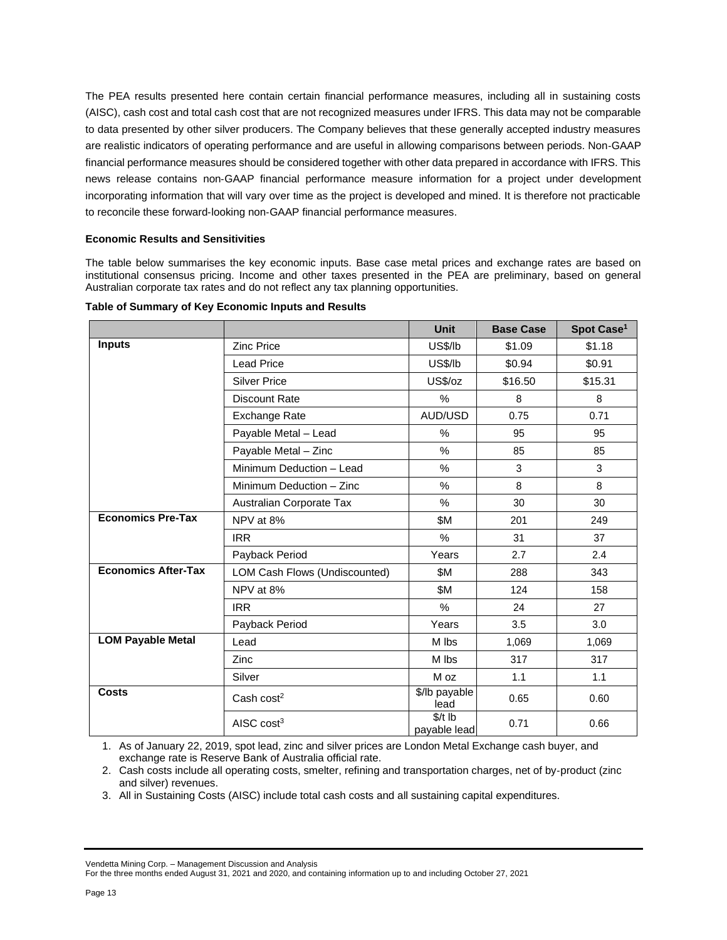The PEA results presented here contain certain financial performance measures, including all in sustaining costs (AISC), cash cost and total cash cost that are not recognized measures under IFRS. This data may not be comparable to data presented by other silver producers. The Company believes that these generally accepted industry measures are realistic indicators of operating performance and are useful in allowing comparisons between periods. Non‐GAAP financial performance measures should be considered together with other data prepared in accordance with IFRS. This news release contains non‐GAAP financial performance measure information for a project under development incorporating information that will vary over time as the project is developed and mined. It is therefore not practicable to reconcile these forward‐looking non‐GAAP financial performance measures.

### **Economic Results and Sensitivities**

The table below summarises the key economic inputs. Base case metal prices and exchange rates are based on institutional consensus pricing. Income and other taxes presented in the PEA are preliminary, based on general Australian corporate tax rates and do not reflect any tax planning opportunities.

|                            |                               | <b>Unit</b>              | <b>Base Case</b> | Spot Case <sup>1</sup> |
|----------------------------|-------------------------------|--------------------------|------------------|------------------------|
| <b>Inputs</b>              | Zinc Price                    | US\$/lb                  | \$1.09           | \$1.18                 |
|                            | <b>Lead Price</b>             | US\$/lb                  | \$0.94           | \$0.91                 |
|                            | <b>Silver Price</b>           | US\$/oz                  | \$16.50          | \$15.31                |
|                            | <b>Discount Rate</b>          | %                        | 8                | 8                      |
|                            | <b>Exchange Rate</b>          | AUD/USD                  | 0.75             | 0.71                   |
|                            | Payable Metal - Lead          | %                        | 95               | 95                     |
|                            | Payable Metal - Zinc          | %                        | 85               | 85                     |
|                            | Minimum Deduction - Lead      | %                        | 3                | 3                      |
|                            | Minimum Deduction - Zinc      | $\%$                     | 8                | 8                      |
|                            | Australian Corporate Tax      | $\%$                     | 30               | 30                     |
| <b>Economics Pre-Tax</b>   | NPV at 8%                     | \$M                      | 201              | 249                    |
|                            | <b>IRR</b>                    | $\%$                     | 31               | 37                     |
|                            | Payback Period                | Years                    | 2.7              | 2.4                    |
| <b>Economics After-Tax</b> | LOM Cash Flows (Undiscounted) | \$M                      | 288              | 343                    |
|                            | NPV at 8%                     | \$M                      | 124              | 158                    |
|                            | <b>IRR</b>                    | %                        | 24               | 27                     |
|                            | Payback Period                | Years                    | 3.5              | 3.0                    |
| <b>LOM Payable Metal</b>   | Lead                          | M lbs                    | 1,069            | 1,069                  |
|                            | Zinc                          | M lbs                    | 317              | 317                    |
|                            | Silver                        | M oz                     | 1.1              | 1.1                    |
| <b>Costs</b>               | Cash $cost2$                  | \$/lb payable<br>lead    | 0.65             | 0.60                   |
|                            | AISC $cost3$                  | $$/t$ lb<br>payable lead | 0.71             | 0.66                   |

#### **Table of Summary of Key Economic Inputs and Results**

1. As of January 22, 2019, spot lead, zinc and silver prices are London Metal Exchange cash buyer, and exchange rate is Reserve Bank of Australia official rate.

2. Cash costs include all operating costs, smelter, refining and transportation charges, net of by‐product (zinc and silver) revenues.

3. All in Sustaining Costs (AISC) include total cash costs and all sustaining capital expenditures.

#### Vendetta Mining Corp. – Management Discussion and Analysis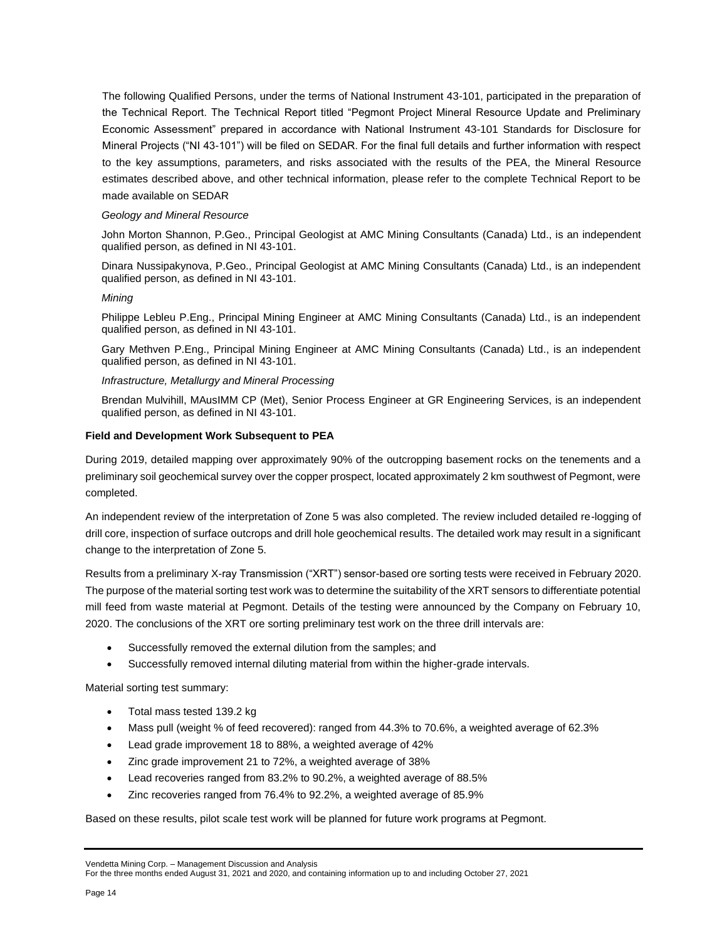The following Qualified Persons, under the terms of National Instrument 43-101, participated in the preparation of the Technical Report. The Technical Report titled "Pegmont Project Mineral Resource Update and Preliminary Economic Assessment" prepared in accordance with National Instrument 43-101 Standards for Disclosure for Mineral Projects ("NI 43-101") will be filed on SEDAR. For the final full details and further information with respect to the key assumptions, parameters, and risks associated with the results of the PEA, the Mineral Resource estimates described above, and other technical information, please refer to the complete Technical Report to be made available on SEDAR

#### *Geology and Mineral Resource*

John Morton Shannon, P.Geo., Principal Geologist at AMC Mining Consultants (Canada) Ltd., is an independent qualified person, as defined in NI 43-101.

Dinara Nussipakynova, P.Geo., Principal Geologist at AMC Mining Consultants (Canada) Ltd., is an independent qualified person, as defined in NI 43-101.

### *Mining*

Philippe Lebleu P.Eng., Principal Mining Engineer at AMC Mining Consultants (Canada) Ltd., is an independent qualified person, as defined in NI 43-101.

Gary Methven P.Eng., Principal Mining Engineer at AMC Mining Consultants (Canada) Ltd., is an independent qualified person, as defined in NI 43-101.

### *Infrastructure, Metallurgy and Mineral Processing*

Brendan Mulvihill, MAusIMM CP (Met), Senior Process Engineer at GR Engineering Services, is an independent qualified person, as defined in NI 43-101.

### **Field and Development Work Subsequent to PEA**

During 2019, detailed mapping over approximately 90% of the outcropping basement rocks on the tenements and a preliminary soil geochemical survey over the copper prospect, located approximately 2 km southwest of Pegmont, were completed.

An independent review of the interpretation of Zone 5 was also completed. The review included detailed re-logging of drill core, inspection of surface outcrops and drill hole geochemical results. The detailed work may result in a significant change to the interpretation of Zone 5.

Results from a preliminary X-ray Transmission ("XRT") sensor-based ore sorting tests were received in February 2020. The purpose of the material sorting test work was to determine the suitability of the XRT sensors to differentiate potential mill feed from waste material at Pegmont. Details of the testing were announced by the Company on February 10, 2020. The conclusions of the XRT ore sorting preliminary test work on the three drill intervals are:

- Successfully removed the external dilution from the samples; and
- Successfully removed internal diluting material from within the higher-grade intervals.

Material sorting test summary:

- Total mass tested 139.2 kg
- Mass pull (weight % of feed recovered): ranged from 44.3% to 70.6%, a weighted average of 62.3%
- Lead grade improvement 18 to 88%, a weighted average of 42%
- Zinc grade improvement 21 to 72%, a weighted average of 38%
- Lead recoveries ranged from 83.2% to 90.2%, a weighted average of 88.5%
- Zinc recoveries ranged from 76.4% to 92.2%, a weighted average of 85.9%

Based on these results, pilot scale test work will be planned for future work programs at Pegmont.

Vendetta Mining Corp. – Management Discussion and Analysis

For the three months ended August 31, 2021 and 2020, and containing information up to and including October 27, 2021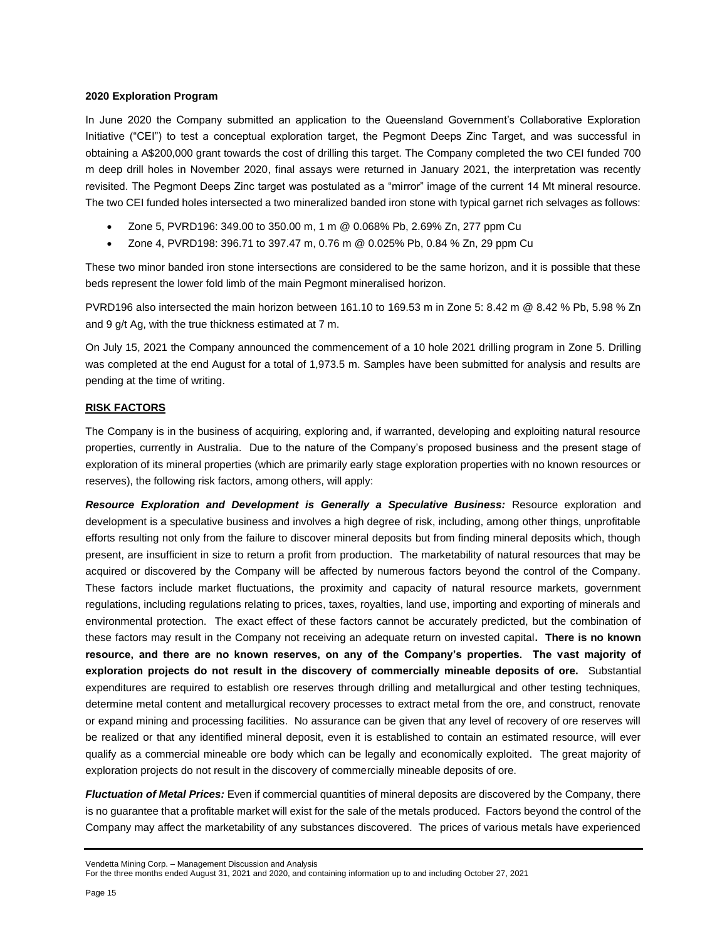### **2020 Exploration Program**

In June 2020 the Company submitted an application to the Queensland Government's Collaborative Exploration Initiative ("CEI") to test a conceptual exploration target, the Pegmont Deeps Zinc Target, and was successful in obtaining a A\$200,000 grant towards the cost of drilling this target. The Company completed the two CEI funded 700 m deep drill holes in November 2020, final assays were returned in January 2021, the interpretation was recently revisited. The Pegmont Deeps Zinc target was postulated as a "mirror" image of the current 14 Mt mineral resource. The two CEI funded holes intersected a two mineralized banded iron stone with typical garnet rich selvages as follows:

- Zone 5, PVRD196: 349.00 to 350.00 m, 1 m @ 0.068% Pb, 2.69% Zn, 277 ppm Cu
- Zone 4, PVRD198: 396.71 to 397.47 m, 0.76 m @ 0.025% Pb, 0.84 % Zn, 29 ppm Cu

These two minor banded iron stone intersections are considered to be the same horizon, and it is possible that these beds represent the lower fold limb of the main Pegmont mineralised horizon.

PVRD196 also intersected the main horizon between 161.10 to 169.53 m in Zone 5: 8.42 m @ 8.42 % Pb, 5.98 % Zn and 9 g/t Ag, with the true thickness estimated at 7 m.

On July 15, 2021 the Company announced the commencement of a 10 hole 2021 drilling program in Zone 5. Drilling was completed at the end August for a total of 1,973.5 m. Samples have been submitted for analysis and results are pending at the time of writing.

## **RISK FACTORS**

The Company is in the business of acquiring, exploring and, if warranted, developing and exploiting natural resource properties, currently in Australia. Due to the nature of the Company's proposed business and the present stage of exploration of its mineral properties (which are primarily early stage exploration properties with no known resources or reserves), the following risk factors, among others, will apply:

**Resource Exploration and Development is Generally a Speculative Business:** Resource exploration and development is a speculative business and involves a high degree of risk, including, among other things, unprofitable efforts resulting not only from the failure to discover mineral deposits but from finding mineral deposits which, though present, are insufficient in size to return a profit from production. The marketability of natural resources that may be acquired or discovered by the Company will be affected by numerous factors beyond the control of the Company. These factors include market fluctuations, the proximity and capacity of natural resource markets, government regulations, including regulations relating to prices, taxes, royalties, land use, importing and exporting of minerals and environmental protection. The exact effect of these factors cannot be accurately predicted, but the combination of these factors may result in the Company not receiving an adequate return on invested capital**. There is no known resource, and there are no known reserves, on any of the Company's properties. The vast majority of exploration projects do not result in the discovery of commercially mineable deposits of ore.** Substantial expenditures are required to establish ore reserves through drilling and metallurgical and other testing techniques, determine metal content and metallurgical recovery processes to extract metal from the ore, and construct, renovate or expand mining and processing facilities. No assurance can be given that any level of recovery of ore reserves will be realized or that any identified mineral deposit, even it is established to contain an estimated resource, will ever qualify as a commercial mineable ore body which can be legally and economically exploited. The great majority of exploration projects do not result in the discovery of commercially mineable deposits of ore.

*Fluctuation of Metal Prices:* Even if commercial quantities of mineral deposits are discovered by the Company, there is no guarantee that a profitable market will exist for the sale of the metals produced. Factors beyond the control of the Company may affect the marketability of any substances discovered. The prices of various metals have experienced

Vendetta Mining Corp. – Management Discussion and Analysis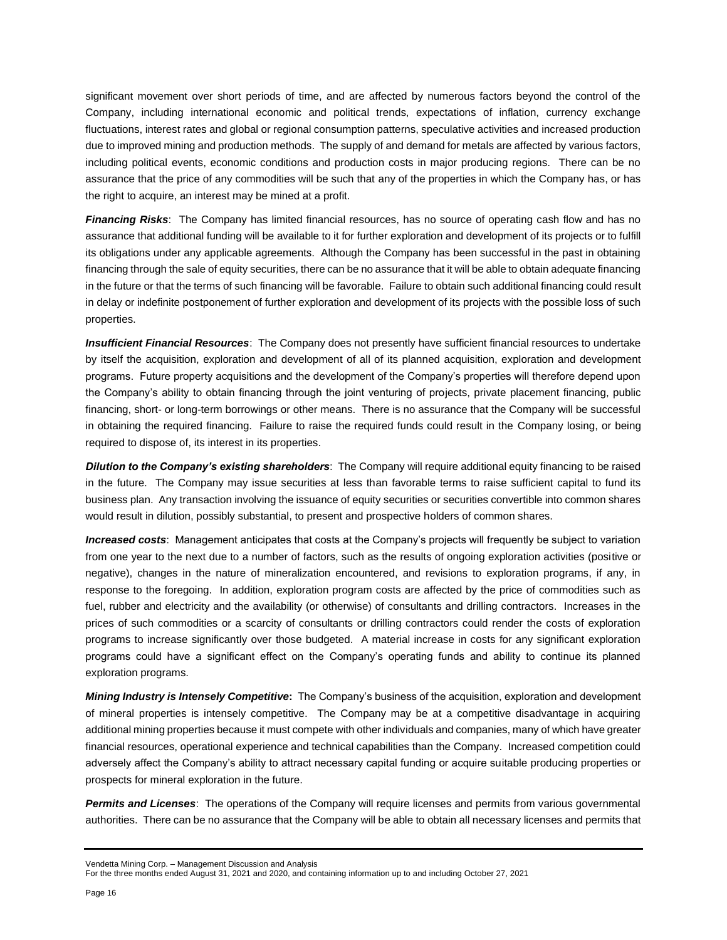significant movement over short periods of time, and are affected by numerous factors beyond the control of the Company, including international economic and political trends, expectations of inflation, currency exchange fluctuations, interest rates and global or regional consumption patterns, speculative activities and increased production due to improved mining and production methods. The supply of and demand for metals are affected by various factors, including political events, economic conditions and production costs in major producing regions. There can be no assurance that the price of any commodities will be such that any of the properties in which the Company has, or has the right to acquire, an interest may be mined at a profit.

*Financing Risks*: The Company has limited financial resources, has no source of operating cash flow and has no assurance that additional funding will be available to it for further exploration and development of its projects or to fulfill its obligations under any applicable agreements. Although the Company has been successful in the past in obtaining financing through the sale of equity securities, there can be no assurance that it will be able to obtain adequate financing in the future or that the terms of such financing will be favorable. Failure to obtain such additional financing could result in delay or indefinite postponement of further exploration and development of its projects with the possible loss of such properties.

*Insufficient Financial Resources*: The Company does not presently have sufficient financial resources to undertake by itself the acquisition, exploration and development of all of its planned acquisition, exploration and development programs. Future property acquisitions and the development of the Company's properties will therefore depend upon the Company's ability to obtain financing through the joint venturing of projects, private placement financing, public financing, short- or long-term borrowings or other means. There is no assurance that the Company will be successful in obtaining the required financing. Failure to raise the required funds could result in the Company losing, or being required to dispose of, its interest in its properties.

*Dilution to the Company's existing shareholders*: The Company will require additional equity financing to be raised in the future. The Company may issue securities at less than favorable terms to raise sufficient capital to fund its business plan. Any transaction involving the issuance of equity securities or securities convertible into common shares would result in dilution, possibly substantial, to present and prospective holders of common shares.

*Increased costs*: Management anticipates that costs at the Company's projects will frequently be subject to variation from one year to the next due to a number of factors, such as the results of ongoing exploration activities (positive or negative), changes in the nature of mineralization encountered, and revisions to exploration programs, if any, in response to the foregoing. In addition, exploration program costs are affected by the price of commodities such as fuel, rubber and electricity and the availability (or otherwise) of consultants and drilling contractors. Increases in the prices of such commodities or a scarcity of consultants or drilling contractors could render the costs of exploration programs to increase significantly over those budgeted. A material increase in costs for any significant exploration programs could have a significant effect on the Company's operating funds and ability to continue its planned exploration programs.

*Mining Industry is Intensely Competitive***:** The Company's business of the acquisition, exploration and development of mineral properties is intensely competitive. The Company may be at a competitive disadvantage in acquiring additional mining properties because it must compete with other individuals and companies, many of which have greater financial resources, operational experience and technical capabilities than the Company. Increased competition could adversely affect the Company's ability to attract necessary capital funding or acquire suitable producing properties or prospects for mineral exploration in the future.

*Permits and Licenses*: The operations of the Company will require licenses and permits from various governmental authorities. There can be no assurance that the Company will be able to obtain all necessary licenses and permits that

Vendetta Mining Corp. – Management Discussion and Analysis

For the three months ended August 31, 2021 and 2020, and containing information up to and including October 27, 2021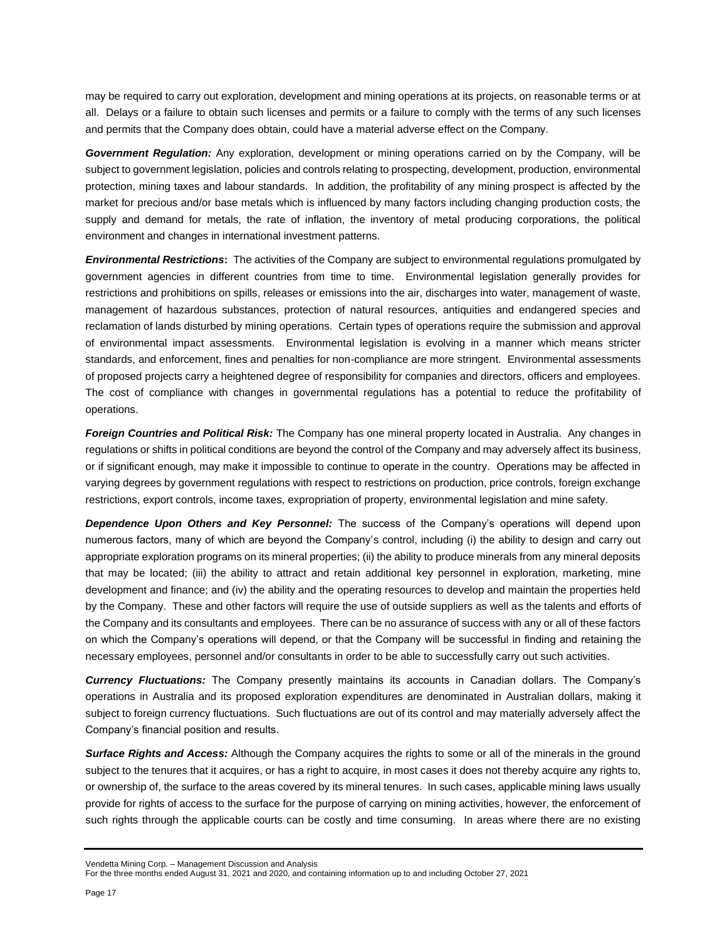may be required to carry out exploration, development and mining operations at its projects, on reasonable terms or at all. Delays or a failure to obtain such licenses and permits or a failure to comply with the terms of any such licenses and permits that the Company does obtain, could have a material adverse effect on the Company.

*Government Regulation:* Any exploration, development or mining operations carried on by the Company, will be subject to government legislation, policies and controls relating to prospecting, development, production, environmental protection, mining taxes and labour standards. In addition, the profitability of any mining prospect is affected by the market for precious and/or base metals which is influenced by many factors including changing production costs, the supply and demand for metals, the rate of inflation, the inventory of metal producing corporations, the political environment and changes in international investment patterns.

*Environmental Restrictions***:** The activities of the Company are subject to environmental regulations promulgated by government agencies in different countries from time to time. Environmental legislation generally provides for restrictions and prohibitions on spills, releases or emissions into the air, discharges into water, management of waste, management of hazardous substances, protection of natural resources, antiquities and endangered species and reclamation of lands disturbed by mining operations. Certain types of operations require the submission and approval of environmental impact assessments. Environmental legislation is evolving in a manner which means stricter standards, and enforcement, fines and penalties for non-compliance are more stringent. Environmental assessments of proposed projects carry a heightened degree of responsibility for companies and directors, officers and employees. The cost of compliance with changes in governmental regulations has a potential to reduce the profitability of operations.

*Foreign Countries and Political Risk:* The Company has one mineral property located in Australia. Any changes in regulations or shifts in political conditions are beyond the control of the Company and may adversely affect its business, or if significant enough, may make it impossible to continue to operate in the country. Operations may be affected in varying degrees by government regulations with respect to restrictions on production, price controls, foreign exchange restrictions, export controls, income taxes, expropriation of property, environmental legislation and mine safety.

*Dependence Upon Others and Key Personnel:* The success of the Company's operations will depend upon numerous factors, many of which are beyond the Company's control, including (i) the ability to design and carry out appropriate exploration programs on its mineral properties; (ii) the ability to produce minerals from any mineral deposits that may be located; (iii) the ability to attract and retain additional key personnel in exploration, marketing, mine development and finance; and (iv) the ability and the operating resources to develop and maintain the properties held by the Company. These and other factors will require the use of outside suppliers as well as the talents and efforts of the Company and its consultants and employees. There can be no assurance of success with any or all of these factors on which the Company's operations will depend, or that the Company will be successful in finding and retaining the necessary employees, personnel and/or consultants in order to be able to successfully carry out such activities.

*Currency Fluctuations:* The Company presently maintains its accounts in Canadian dollars. The Company's operations in Australia and its proposed exploration expenditures are denominated in Australian dollars, making it subject to foreign currency fluctuations. Such fluctuations are out of its control and may materially adversely affect the Company's financial position and results.

*Surface Rights and Access:* Although the Company acquires the rights to some or all of the minerals in the ground subject to the tenures that it acquires, or has a right to acquire, in most cases it does not thereby acquire any rights to, or ownership of, the surface to the areas covered by its mineral tenures. In such cases, applicable mining laws usually provide for rights of access to the surface for the purpose of carrying on mining activities, however, the enforcement of such rights through the applicable courts can be costly and time consuming. In areas where there are no existing

Vendetta Mining Corp. – Management Discussion and Analysis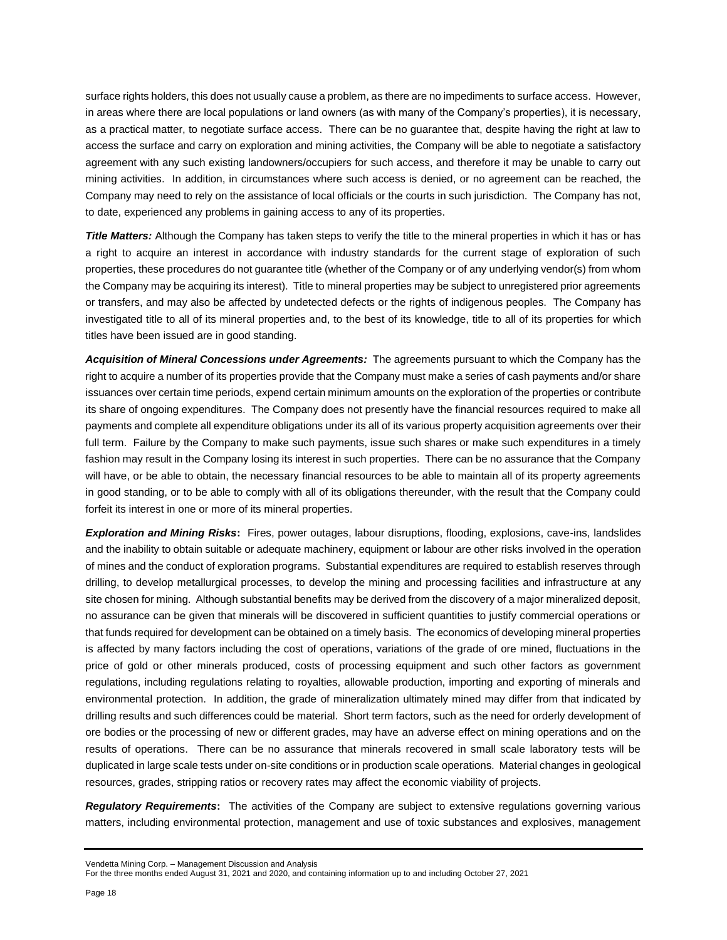surface rights holders, this does not usually cause a problem, as there are no impediments to surface access. However, in areas where there are local populations or land owners (as with many of the Company's properties), it is necessary, as a practical matter, to negotiate surface access. There can be no guarantee that, despite having the right at law to access the surface and carry on exploration and mining activities, the Company will be able to negotiate a satisfactory agreement with any such existing landowners/occupiers for such access, and therefore it may be unable to carry out mining activities. In addition, in circumstances where such access is denied, or no agreement can be reached, the Company may need to rely on the assistance of local officials or the courts in such jurisdiction. The Company has not, to date, experienced any problems in gaining access to any of its properties.

*Title Matters:* Although the Company has taken steps to verify the title to the mineral properties in which it has or has a right to acquire an interest in accordance with industry standards for the current stage of exploration of such properties, these procedures do not guarantee title (whether of the Company or of any underlying vendor(s) from whom the Company may be acquiring its interest). Title to mineral properties may be subject to unregistered prior agreements or transfers, and may also be affected by undetected defects or the rights of indigenous peoples. The Company has investigated title to all of its mineral properties and, to the best of its knowledge, title to all of its properties for which titles have been issued are in good standing.

*Acquisition of Mineral Concessions under Agreements:* The agreements pursuant to which the Company has the right to acquire a number of its properties provide that the Company must make a series of cash payments and/or share issuances over certain time periods, expend certain minimum amounts on the exploration of the properties or contribute its share of ongoing expenditures. The Company does not presently have the financial resources required to make all payments and complete all expenditure obligations under its all of its various property acquisition agreements over their full term. Failure by the Company to make such payments, issue such shares or make such expenditures in a timely fashion may result in the Company losing its interest in such properties. There can be no assurance that the Company will have, or be able to obtain, the necessary financial resources to be able to maintain all of its property agreements in good standing, or to be able to comply with all of its obligations thereunder, with the result that the Company could forfeit its interest in one or more of its mineral properties.

*Exploration and Mining Risks***:** Fires, power outages, labour disruptions, flooding, explosions, cave-ins, landslides and the inability to obtain suitable or adequate machinery, equipment or labour are other risks involved in the operation of mines and the conduct of exploration programs. Substantial expenditures are required to establish reserves through drilling, to develop metallurgical processes, to develop the mining and processing facilities and infrastructure at any site chosen for mining. Although substantial benefits may be derived from the discovery of a major mineralized deposit, no assurance can be given that minerals will be discovered in sufficient quantities to justify commercial operations or that funds required for development can be obtained on a timely basis. The economics of developing mineral properties is affected by many factors including the cost of operations, variations of the grade of ore mined, fluctuations in the price of gold or other minerals produced, costs of processing equipment and such other factors as government regulations, including regulations relating to royalties, allowable production, importing and exporting of minerals and environmental protection. In addition, the grade of mineralization ultimately mined may differ from that indicated by drilling results and such differences could be material. Short term factors, such as the need for orderly development of ore bodies or the processing of new or different grades, may have an adverse effect on mining operations and on the results of operations. There can be no assurance that minerals recovered in small scale laboratory tests will be duplicated in large scale tests under on-site conditions or in production scale operations. Material changes in geological resources, grades, stripping ratios or recovery rates may affect the economic viability of projects.

*Regulatory Requirements***:** The activities of the Company are subject to extensive regulations governing various matters, including environmental protection, management and use of toxic substances and explosives, management

Vendetta Mining Corp. – Management Discussion and Analysis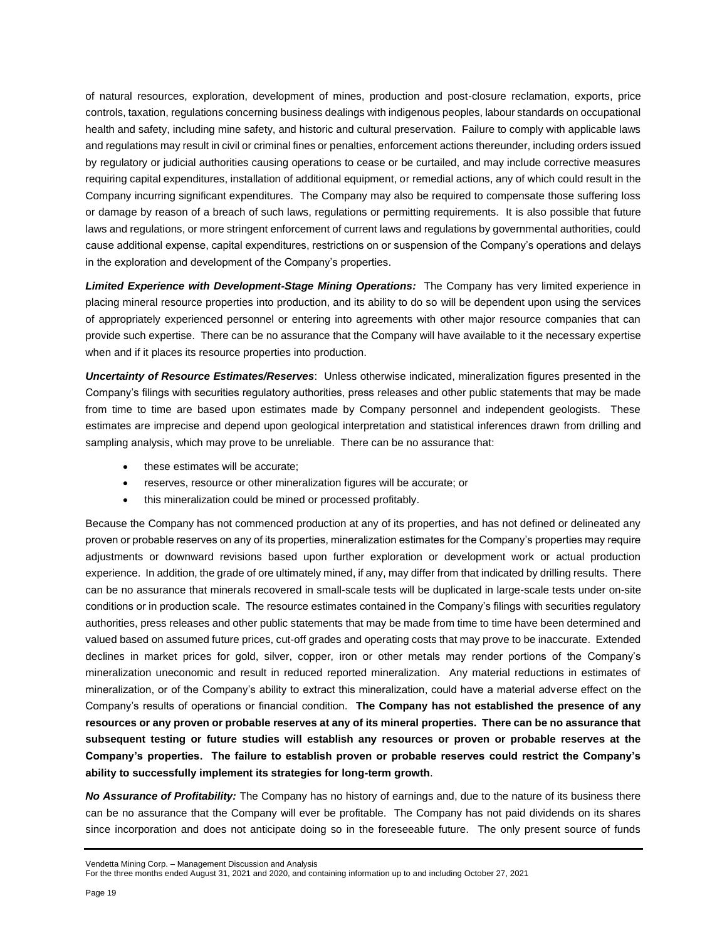of natural resources, exploration, development of mines, production and post-closure reclamation, exports, price controls, taxation, regulations concerning business dealings with indigenous peoples, labour standards on occupational health and safety, including mine safety, and historic and cultural preservation. Failure to comply with applicable laws and regulations may result in civil or criminal fines or penalties, enforcement actions thereunder, including orders issued by regulatory or judicial authorities causing operations to cease or be curtailed, and may include corrective measures requiring capital expenditures, installation of additional equipment, or remedial actions, any of which could result in the Company incurring significant expenditures. The Company may also be required to compensate those suffering loss or damage by reason of a breach of such laws, regulations or permitting requirements. It is also possible that future laws and regulations, or more stringent enforcement of current laws and regulations by governmental authorities, could cause additional expense, capital expenditures, restrictions on or suspension of the Company's operations and delays in the exploration and development of the Company's properties.

*Limited Experience with Development-Stage Mining Operations:* The Company has very limited experience in placing mineral resource properties into production, and its ability to do so will be dependent upon using the services of appropriately experienced personnel or entering into agreements with other major resource companies that can provide such expertise. There can be no assurance that the Company will have available to it the necessary expertise when and if it places its resource properties into production.

*Uncertainty of Resource Estimates/Reserves*: Unless otherwise indicated, mineralization figures presented in the Company's filings with securities regulatory authorities, press releases and other public statements that may be made from time to time are based upon estimates made by Company personnel and independent geologists. These estimates are imprecise and depend upon geological interpretation and statistical inferences drawn from drilling and sampling analysis, which may prove to be unreliable. There can be no assurance that:

- these estimates will be accurate;
- reserves, resource or other mineralization figures will be accurate; or
- this mineralization could be mined or processed profitably.

Because the Company has not commenced production at any of its properties, and has not defined or delineated any proven or probable reserves on any of its properties, mineralization estimates for the Company's properties may require adjustments or downward revisions based upon further exploration or development work or actual production experience. In addition, the grade of ore ultimately mined, if any, may differ from that indicated by drilling results. There can be no assurance that minerals recovered in small-scale tests will be duplicated in large-scale tests under on-site conditions or in production scale. The resource estimates contained in the Company's filings with securities regulatory authorities, press releases and other public statements that may be made from time to time have been determined and valued based on assumed future prices, cut-off grades and operating costs that may prove to be inaccurate. Extended declines in market prices for gold, silver, copper, iron or other metals may render portions of the Company's mineralization uneconomic and result in reduced reported mineralization. Any material reductions in estimates of mineralization, or of the Company's ability to extract this mineralization, could have a material adverse effect on the Company's results of operations or financial condition. **The Company has not established the presence of any resources or any proven or probable reserves at any of its mineral properties. There can be no assurance that subsequent testing or future studies will establish any resources or proven or probable reserves at the Company's properties. The failure to establish proven or probable reserves could restrict the Company's ability to successfully implement its strategies for long-term growth**.

*No Assurance of Profitability:* The Company has no history of earnings and, due to the nature of its business there can be no assurance that the Company will ever be profitable. The Company has not paid dividends on its shares since incorporation and does not anticipate doing so in the foreseeable future. The only present source of funds

Vendetta Mining Corp. – Management Discussion and Analysis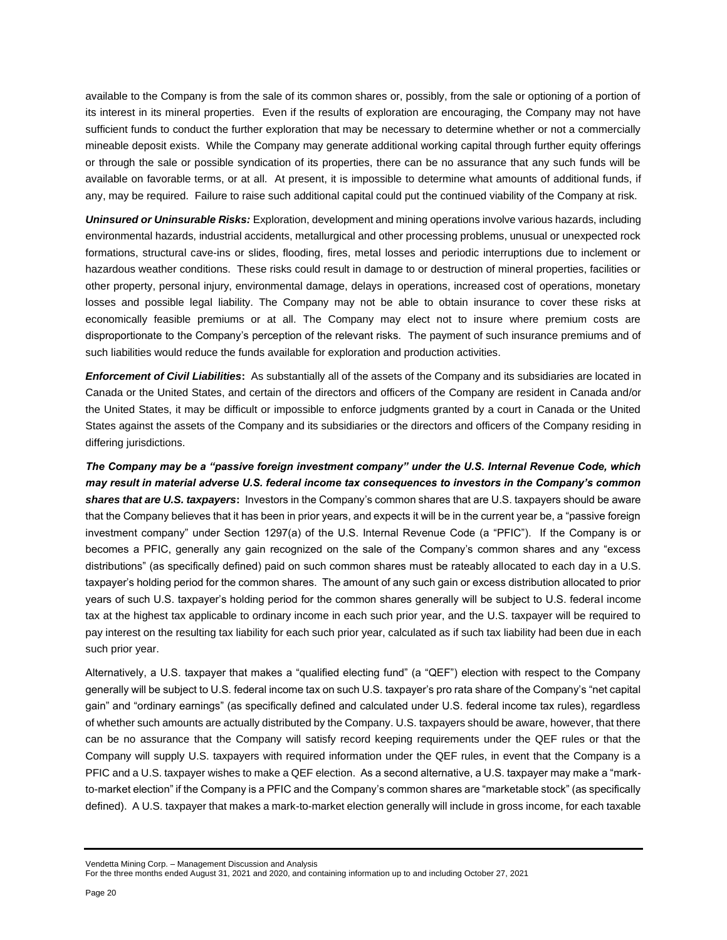available to the Company is from the sale of its common shares or, possibly, from the sale or optioning of a portion of its interest in its mineral properties. Even if the results of exploration are encouraging, the Company may not have sufficient funds to conduct the further exploration that may be necessary to determine whether or not a commercially mineable deposit exists. While the Company may generate additional working capital through further equity offerings or through the sale or possible syndication of its properties, there can be no assurance that any such funds will be available on favorable terms, or at all. At present, it is impossible to determine what amounts of additional funds, if any, may be required. Failure to raise such additional capital could put the continued viability of the Company at risk.

*Uninsured or Uninsurable Risks:* Exploration, development and mining operations involve various hazards, including environmental hazards, industrial accidents, metallurgical and other processing problems, unusual or unexpected rock formations, structural cave-ins or slides, flooding, fires, metal losses and periodic interruptions due to inclement or hazardous weather conditions. These risks could result in damage to or destruction of mineral properties, facilities or other property, personal injury, environmental damage, delays in operations, increased cost of operations, monetary losses and possible legal liability. The Company may not be able to obtain insurance to cover these risks at economically feasible premiums or at all. The Company may elect not to insure where premium costs are disproportionate to the Company's perception of the relevant risks. The payment of such insurance premiums and of such liabilities would reduce the funds available for exploration and production activities.

*Enforcement of Civil Liabilities***:** As substantially all of the assets of the Company and its subsidiaries are located in Canada or the United States, and certain of the directors and officers of the Company are resident in Canada and/or the United States, it may be difficult or impossible to enforce judgments granted by a court in Canada or the United States against the assets of the Company and its subsidiaries or the directors and officers of the Company residing in differing jurisdictions.

*The Company may be a "passive foreign investment company" under the U.S. Internal Revenue Code, which may result in material adverse U.S. federal income tax consequences to investors in the Company's common shares that are U.S. taxpayers***:** Investors in the Company's common shares that are U.S. taxpayers should be aware that the Company believes that it has been in prior years, and expects it will be in the current year be, a "passive foreign investment company" under Section 1297(a) of the U.S. Internal Revenue Code (a "PFIC"). If the Company is or becomes a PFIC, generally any gain recognized on the sale of the Company's common shares and any "excess distributions" (as specifically defined) paid on such common shares must be rateably allocated to each day in a U.S. taxpayer's holding period for the common shares. The amount of any such gain or excess distribution allocated to prior years of such U.S. taxpayer's holding period for the common shares generally will be subject to U.S. federal income tax at the highest tax applicable to ordinary income in each such prior year, and the U.S. taxpayer will be required to pay interest on the resulting tax liability for each such prior year, calculated as if such tax liability had been due in each such prior year.

Alternatively, a U.S. taxpayer that makes a "qualified electing fund" (a "QEF") election with respect to the Company generally will be subject to U.S. federal income tax on such U.S. taxpayer's pro rata share of the Company's "net capital gain" and "ordinary earnings" (as specifically defined and calculated under U.S. federal income tax rules), regardless of whether such amounts are actually distributed by the Company. U.S. taxpayers should be aware, however, that there can be no assurance that the Company will satisfy record keeping requirements under the QEF rules or that the Company will supply U.S. taxpayers with required information under the QEF rules, in event that the Company is a PFIC and a U.S. taxpayer wishes to make a QEF election. As a second alternative, a U.S. taxpayer may make a "markto-market election" if the Company is a PFIC and the Company's common shares are "marketable stock" (as specifically defined). A U.S. taxpayer that makes a mark-to-market election generally will include in gross income, for each taxable

Vendetta Mining Corp. – Management Discussion and Analysis

For the three months ended August 31, 2021 and 2020, and containing information up to and including October 27, 2021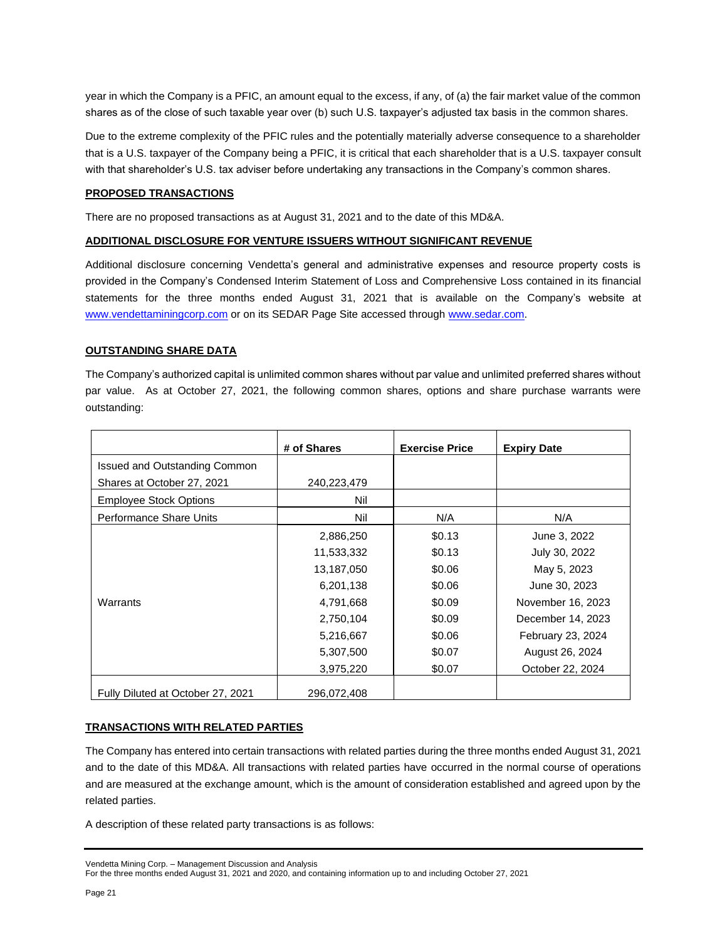year in which the Company is a PFIC, an amount equal to the excess, if any, of (a) the fair market value of the common shares as of the close of such taxable year over (b) such U.S. taxpayer's adjusted tax basis in the common shares.

Due to the extreme complexity of the PFIC rules and the potentially materially adverse consequence to a shareholder that is a U.S. taxpayer of the Company being a PFIC, it is critical that each shareholder that is a U.S. taxpayer consult with that shareholder's U.S. tax adviser before undertaking any transactions in the Company's common shares.

## **PROPOSED TRANSACTIONS**

There are no proposed transactions as at August 31, 2021 and to the date of this MD&A.

## **ADDITIONAL DISCLOSURE FOR VENTURE ISSUERS WITHOUT SIGNIFICANT REVENUE**

Additional disclosure concerning Vendetta's general and administrative expenses and resource property costs is provided in the Company's Condensed Interim Statement of Loss and Comprehensive Loss contained in its financial statements for the three months ended August 31, 2021 that is available on the Company's website at [www.vendettaminingcorp.com](http://www.vendettaminingcorp.com/) or on its SEDAR Page Site accessed throug[h www.sedar.com.](http://www.sedar.com/)

### **OUTSTANDING SHARE DATA**

The Company's authorized capital is unlimited common shares without par value and unlimited preferred shares without par value. As at October 27, 2021, the following common shares, options and share purchase warrants were outstanding:

|                                   | # of Shares | <b>Exercise Price</b> | <b>Expiry Date</b> |
|-----------------------------------|-------------|-----------------------|--------------------|
| Issued and Outstanding Common     |             |                       |                    |
| Shares at October 27, 2021        | 240,223,479 |                       |                    |
| <b>Employee Stock Options</b>     | Nil         |                       |                    |
| Performance Share Units           | Nil         | N/A                   | N/A                |
|                                   | 2,886,250   | \$0.13                | June 3, 2022       |
|                                   | 11,533,332  | \$0.13                | July 30, 2022      |
|                                   | 13,187,050  | \$0.06                | May 5, 2023        |
|                                   | 6,201,138   | \$0.06                | June 30, 2023      |
| Warrants                          | 4,791,668   | \$0.09                | November 16, 2023  |
|                                   | 2,750,104   | \$0.09                | December 14, 2023  |
|                                   | 5,216,667   | \$0.06                | February 23, 2024  |
|                                   | 5,307,500   | \$0.07                | August 26, 2024    |
|                                   | 3,975,220   | \$0.07                | October 22, 2024   |
| Fully Diluted at October 27, 2021 | 296,072,408 |                       |                    |

## **TRANSACTIONS WITH RELATED PARTIES**

The Company has entered into certain transactions with related parties during the three months ended August 31, 2021 and to the date of this MD&A. All transactions with related parties have occurred in the normal course of operations and are measured at the exchange amount, which is the amount of consideration established and agreed upon by the related parties.

A description of these related party transactions is as follows:

Vendetta Mining Corp. – Management Discussion and Analysis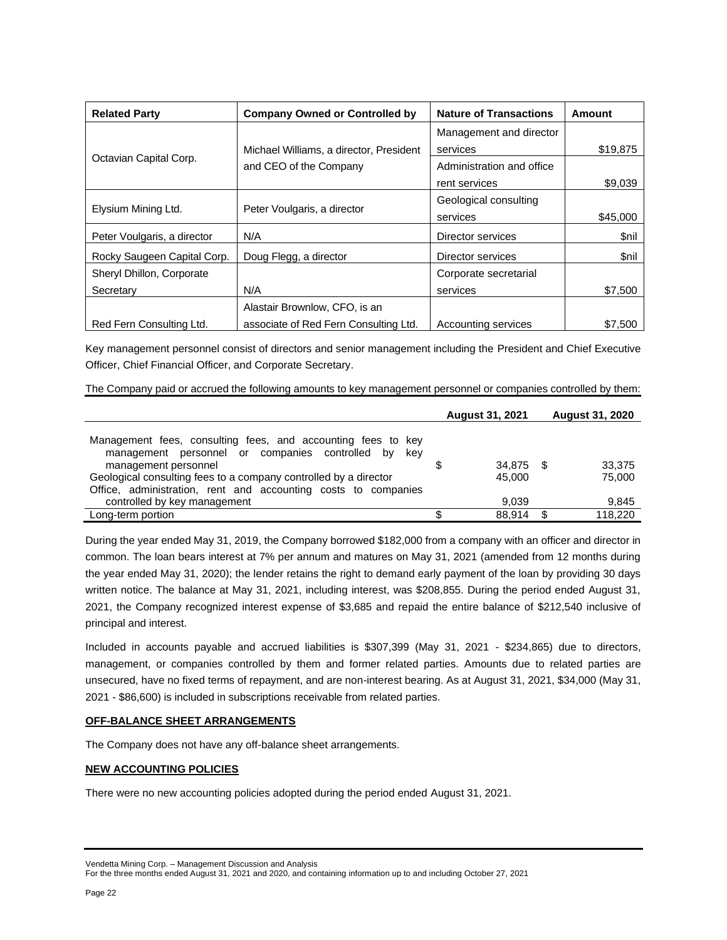| <b>Related Party</b>        | <b>Company Owned or Controlled by</b>              | <b>Nature of Transactions</b> | Amount      |
|-----------------------------|----------------------------------------------------|-------------------------------|-------------|
|                             |                                                    | Management and director       |             |
|                             | Michael Williams, a director, President            | services                      | \$19,875    |
| Octavian Capital Corp.      | and CEO of the Company                             | Administration and office     |             |
|                             |                                                    | rent services                 | \$9,039     |
|                             |                                                    | Geological consulting         |             |
|                             | Elysium Mining Ltd.<br>Peter Voulgaris, a director |                               | \$45,000    |
| Peter Voulgaris, a director | N/A                                                | Director services             | \$nil       |
| Rocky Saugeen Capital Corp. | Doug Flegg, a director                             | Director services             | <b>Snil</b> |
| Sheryl Dhillon, Corporate   |                                                    | Corporate secretarial         |             |
| Secretary                   | N/A                                                | services                      | \$7,500     |
|                             | Alastair Brownlow, CFO, is an                      |                               |             |
| Red Fern Consulting Ltd.    | associate of Red Fern Consulting Ltd.              | Accounting services           | \$7.500     |

Key management personnel consist of directors and senior management including the President and Chief Executive Officer, Chief Financial Officer, and Corporate Secretary.

The Company paid or accrued the following amounts to key management personnel or companies controlled by them:

|                                                                                                                                                                                                                    | <b>August 31, 2021</b> |                     | <b>August 31, 2020</b> |                  |
|--------------------------------------------------------------------------------------------------------------------------------------------------------------------------------------------------------------------|------------------------|---------------------|------------------------|------------------|
| Management fees, consulting fees, and accounting fees to key<br>management personnel or companies controlled by<br>kev<br>management personnel<br>Geological consulting fees to a company controlled by a director |                        | 34.875 \$<br>45,000 |                        | 33,375<br>75,000 |
| Office, administration, rent and accounting costs to companies<br>controlled by key management                                                                                                                     |                        | 9.039               |                        | 9,845            |
| Long-term portion                                                                                                                                                                                                  |                        | 88.914              |                        | 118.220          |

During the year ended May 31, 2019, the Company borrowed \$182,000 from a company with an officer and director in common. The loan bears interest at 7% per annum and matures on May 31, 2021 (amended from 12 months during the year ended May 31, 2020); the lender retains the right to demand early payment of the loan by providing 30 days written notice. The balance at May 31, 2021, including interest, was \$208,855. During the period ended August 31, 2021, the Company recognized interest expense of \$3,685 and repaid the entire balance of \$212,540 inclusive of principal and interest.

Included in accounts payable and accrued liabilities is \$307,399 (May 31, 2021 - \$234,865) due to directors, management, or companies controlled by them and former related parties. Amounts due to related parties are unsecured, have no fixed terms of repayment, and are non-interest bearing. As at August 31, 2021, \$34,000 (May 31, 2021 - \$86,600) is included in subscriptions receivable from related parties.

## **OFF-BALANCE SHEET ARRANGEMENTS**

The Company does not have any off-balance sheet arrangements.

# **NEW ACCOUNTING POLICIES**

There were no new accounting policies adopted during the period ended August 31, 2021.

Vendetta Mining Corp. – Management Discussion and Analysis

For the three months ended August 31, 2021 and 2020, and containing information up to and including October 27, 2021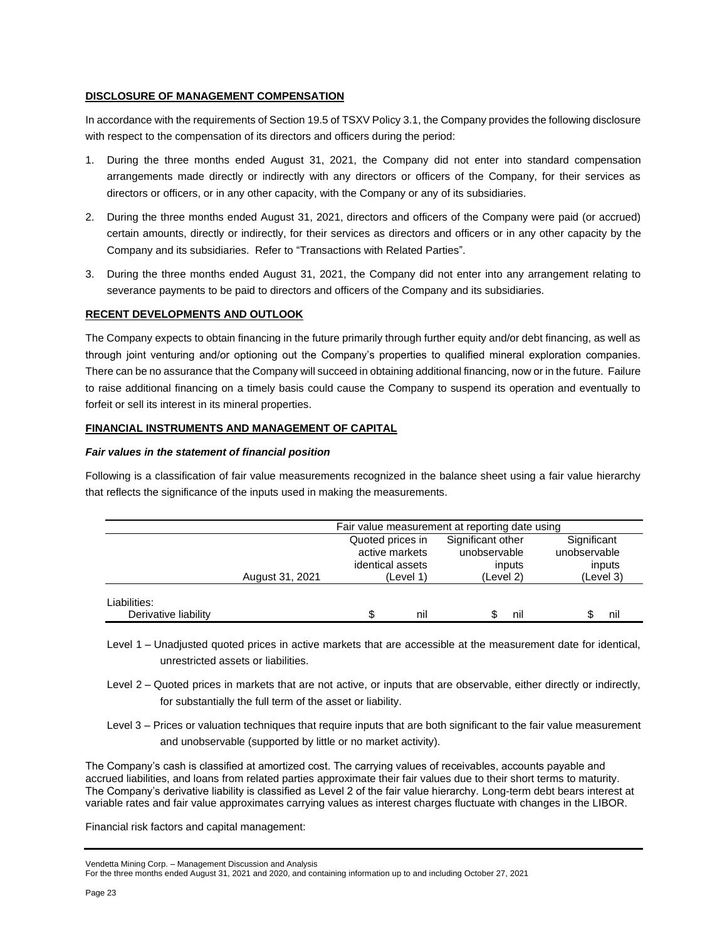## **DISCLOSURE OF MANAGEMENT COMPENSATION**

In accordance with the requirements of Section 19.5 of TSXV Policy 3.1, the Company provides the following disclosure with respect to the compensation of its directors and officers during the period:

- 1. During the three months ended August 31, 2021, the Company did not enter into standard compensation arrangements made directly or indirectly with any directors or officers of the Company, for their services as directors or officers, or in any other capacity, with the Company or any of its subsidiaries.
- 2. During the three months ended August 31, 2021, directors and officers of the Company were paid (or accrued) certain amounts, directly or indirectly, for their services as directors and officers or in any other capacity by the Company and its subsidiaries. Refer to "Transactions with Related Parties".
- 3. During the three months ended August 31, 2021, the Company did not enter into any arrangement relating to severance payments to be paid to directors and officers of the Company and its subsidiaries.

## **RECENT DEVELOPMENTS AND OUTLOOK**

The Company expects to obtain financing in the future primarily through further equity and/or debt financing, as well as through joint venturing and/or optioning out the Company's properties to qualified mineral exploration companies. There can be no assurance that the Company will succeed in obtaining additional financing, now or in the future. Failure to raise additional financing on a timely basis could cause the Company to suspend its operation and eventually to forfeit or sell its interest in its mineral properties.

## **FINANCIAL INSTRUMENTS AND MANAGEMENT OF CAPITAL**

## *Fair values in the statement of financial position*

Following is a classification of fair value measurements recognized in the balance sheet using a fair value hierarchy that reflects the significance of the inputs used in making the measurements.

|                                      | Fair value measurement at reporting date using |                                                        |                                             |                                       |
|--------------------------------------|------------------------------------------------|--------------------------------------------------------|---------------------------------------------|---------------------------------------|
|                                      |                                                | Quoted prices in<br>active markets<br>identical assets | Significant other<br>unobservable<br>inputs | Significant<br>unobservable<br>inputs |
|                                      | August 31, 2021                                | (Level 1)                                              | (Level 2)                                   | (Level 3)                             |
| Liabilities:<br>Derivative liability |                                                | nil                                                    | nil                                         | nıl                                   |

- Level 1 Unadjusted quoted prices in active markets that are accessible at the measurement date for identical, unrestricted assets or liabilities.
- Level 2 Quoted prices in markets that are not active, or inputs that are observable, either directly or indirectly, for substantially the full term of the asset or liability.
- Level 3 Prices or valuation techniques that require inputs that are both significant to the fair value measurement and unobservable (supported by little or no market activity).

The Company's cash is classified at amortized cost. The carrying values of receivables, accounts payable and accrued liabilities, and loans from related parties approximate their fair values due to their short terms to maturity. The Company's derivative liability is classified as Level 2 of the fair value hierarchy. Long-term debt bears interest at variable rates and fair value approximates carrying values as interest charges fluctuate with changes in the LIBOR.

Financial risk factors and capital management:

Vendetta Mining Corp. – Management Discussion and Analysis

For the three months ended August 31, 2021 and 2020, and containing information up to and including October 27, 2021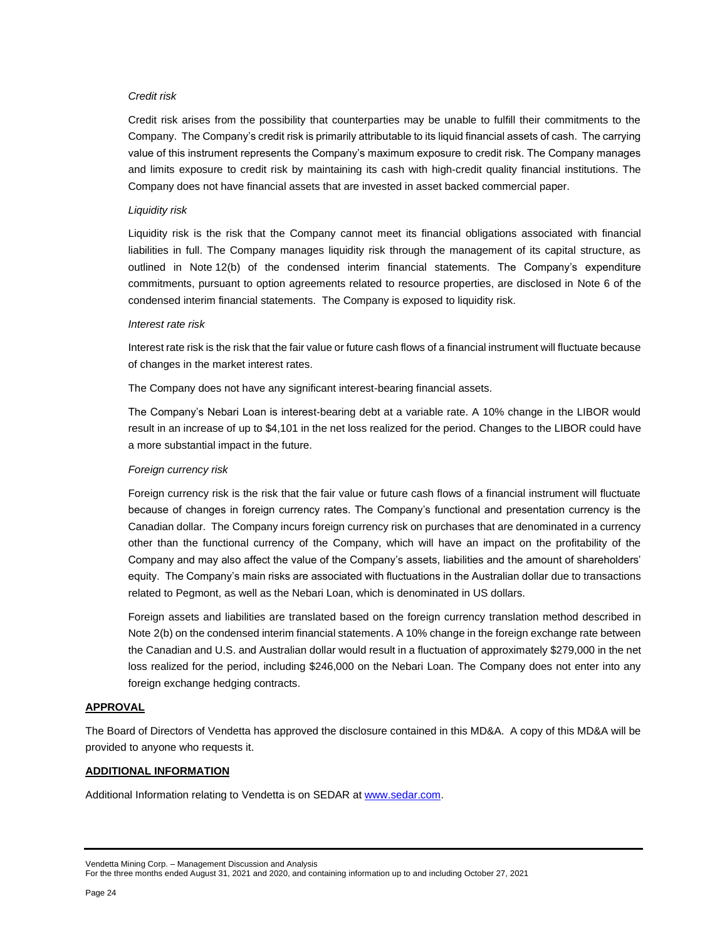### *Credit risk*

Credit risk arises from the possibility that counterparties may be unable to fulfill their commitments to the Company. The Company's credit risk is primarily attributable to its liquid financial assets of cash. The carrying value of this instrument represents the Company's maximum exposure to credit risk. The Company manages and limits exposure to credit risk by maintaining its cash with high-credit quality financial institutions. The Company does not have financial assets that are invested in asset backed commercial paper.

### *Liquidity risk*

Liquidity risk is the risk that the Company cannot meet its financial obligations associated with financial liabilities in full. The Company manages liquidity risk through the management of its capital structure, as outlined in Note 12(b) of the condensed interim financial statements. The Company's expenditure commitments, pursuant to option agreements related to resource properties, are disclosed in Note 6 of the condensed interim financial statements. The Company is exposed to liquidity risk.

#### *Interest rate risk*

Interest rate risk is the risk that the fair value or future cash flows of a financial instrument will fluctuate because of changes in the market interest rates.

The Company does not have any significant interest-bearing financial assets.

The Company's Nebari Loan is interest-bearing debt at a variable rate. A 10% change in the LIBOR would result in an increase of up to \$4,101 in the net loss realized for the period. Changes to the LIBOR could have a more substantial impact in the future.

### *Foreign currency risk*

Foreign currency risk is the risk that the fair value or future cash flows of a financial instrument will fluctuate because of changes in foreign currency rates. The Company's functional and presentation currency is the Canadian dollar. The Company incurs foreign currency risk on purchases that are denominated in a currency other than the functional currency of the Company, which will have an impact on the profitability of the Company and may also affect the value of the Company's assets, liabilities and the amount of shareholders' equity. The Company's main risks are associated with fluctuations in the Australian dollar due to transactions related to Pegmont, as well as the Nebari Loan, which is denominated in US dollars.

Foreign assets and liabilities are translated based on the foreign currency translation method described in Note 2(b) on the condensed interim financial statements. A 10% change in the foreign exchange rate between the Canadian and U.S. and Australian dollar would result in a fluctuation of approximately \$279,000 in the net loss realized for the period, including \$246,000 on the Nebari Loan. The Company does not enter into any foreign exchange hedging contracts.

#### **APPROVAL**

The Board of Directors of Vendetta has approved the disclosure contained in this MD&A. A copy of this MD&A will be provided to anyone who requests it.

#### **ADDITIONAL INFORMATION**

Additional Information relating to Vendetta is on SEDAR at [www.sedar.com.](http://www.sedar.com/)

Vendetta Mining Corp. – Management Discussion and Analysis